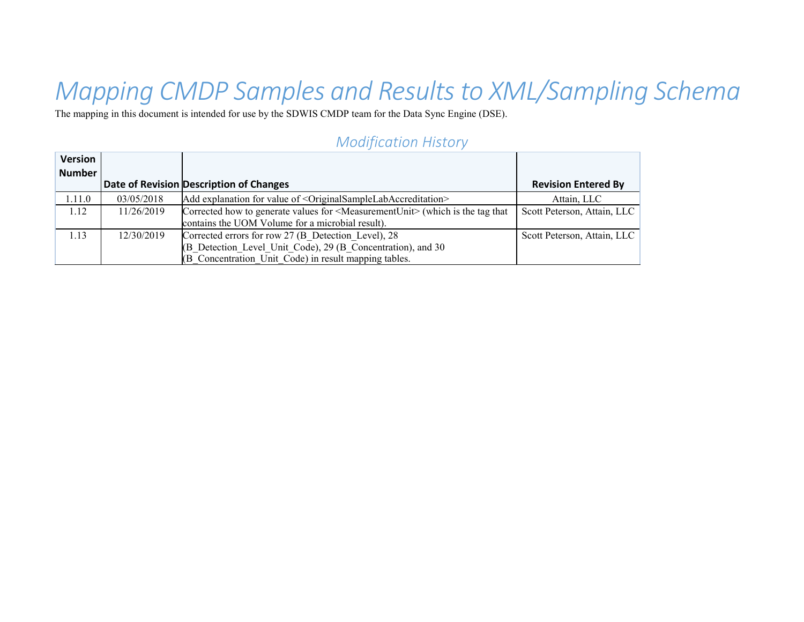# *Mapping CMDP Samples and Results to XML/Sampling Schema*

The mapping in this document is intended for use by the SDWIS CMDP team for the Data Sync Engine (DSE).

| Version<br>Number |            |                                                                                                 |                             |
|-------------------|------------|-------------------------------------------------------------------------------------------------|-----------------------------|
|                   |            | Date of Revision Description of Changes                                                         | <b>Revision Entered By</b>  |
| 1.11.0            | 03/05/2018 | Add explanation for value of <originalsamplelabaccreditation></originalsamplelabaccreditation>  | Attain, LLC                 |
| 1.12              | 11/26/2019 | Corrected how to generate values for <measurementunit> (which is the tag that</measurementunit> | Scott Peterson, Attain, LLC |
|                   |            | contains the UOM Volume for a microbial result).                                                |                             |
| 1.13              | 12/30/2019 | Corrected errors for row 27 (B Detection Level), 28                                             | Scott Peterson, Attain, LLC |
|                   |            | (B Detection Level Unit Code), 29 (B Concentration), and 30                                     |                             |
|                   |            | (B Concentration Unit Code) in result mapping tables.                                           |                             |

#### *Modification History*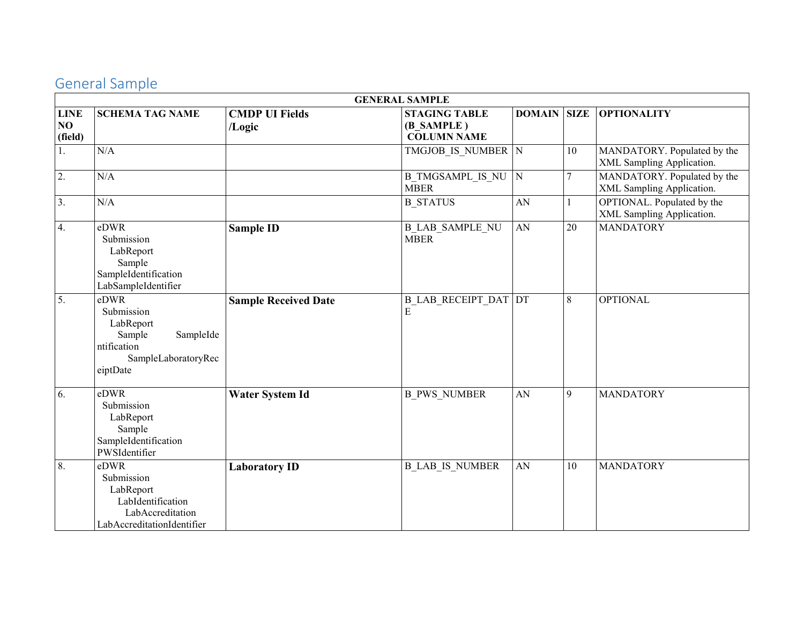### General Sample

|                              | <b>GENERAL SAMPLE</b>                                                                                    |                                 |                                                          |               |             |                                                          |  |
|------------------------------|----------------------------------------------------------------------------------------------------------|---------------------------------|----------------------------------------------------------|---------------|-------------|----------------------------------------------------------|--|
| <b>LINE</b><br>NO<br>(field) | <b>SCHEMA TAG NAME</b>                                                                                   | <b>CMDP UI Fields</b><br>/Logic | <b>STAGING TABLE</b><br>(B SAMPLE)<br><b>COLUMN NAME</b> | <b>DOMAIN</b> | <b>SIZE</b> | <b>OPTIONALITY</b>                                       |  |
| 1.                           | N/A                                                                                                      |                                 | TMGJOB IS NUMBER N                                       |               | 10          | MANDATORY. Populated by the<br>XML Sampling Application. |  |
| 2.                           | N/A                                                                                                      |                                 | <b>B TMGSAMPL IS NU</b><br><b>MBER</b>                   | ${\bf N}$     | 7           | MANDATORY. Populated by the<br>XML Sampling Application. |  |
| 3.                           | N/A                                                                                                      |                                 | <b>B STATUS</b>                                          | ${\rm AN}$    |             | OPTIONAL. Populated by the<br>XML Sampling Application.  |  |
| 4.                           | eDWR<br>Submission<br>LabReport<br>Sample<br>SampleIdentification<br>LabSampleIdentifier                 | <b>Sample ID</b>                | <b>B_LAB_SAMPLE_NU</b><br><b>MBER</b>                    | AN            | 20          | <b>MANDATORY</b>                                         |  |
| $\overline{5}$ .             | eDWR<br>Submission<br>LabReport<br>SampleIde<br>Sample<br>ntification<br>SampleLaboratoryRec<br>eiptDate | <b>Sample Received Date</b>     | <b>B LAB RECEIPT DAT DT</b><br>E                         |               | 8           | <b>OPTIONAL</b>                                          |  |
| 6.                           | eDWR<br>Submission<br>LabReport<br>Sample<br>SampleIdentification<br>PWSIdentifier                       | <b>Water System Id</b>          | <b>B PWS NUMBER</b>                                      | ${\rm AN}$    | 9           | <b>MANDATORY</b>                                         |  |
| 8.                           | eDWR<br>Submission<br>LabReport<br>LabIdentification<br>LabAccreditation<br>LabAccreditationIdentifier   | <b>Laboratory ID</b>            | <b>B LAB IS NUMBER</b>                                   | AN            | 10          | <b>MANDATORY</b>                                         |  |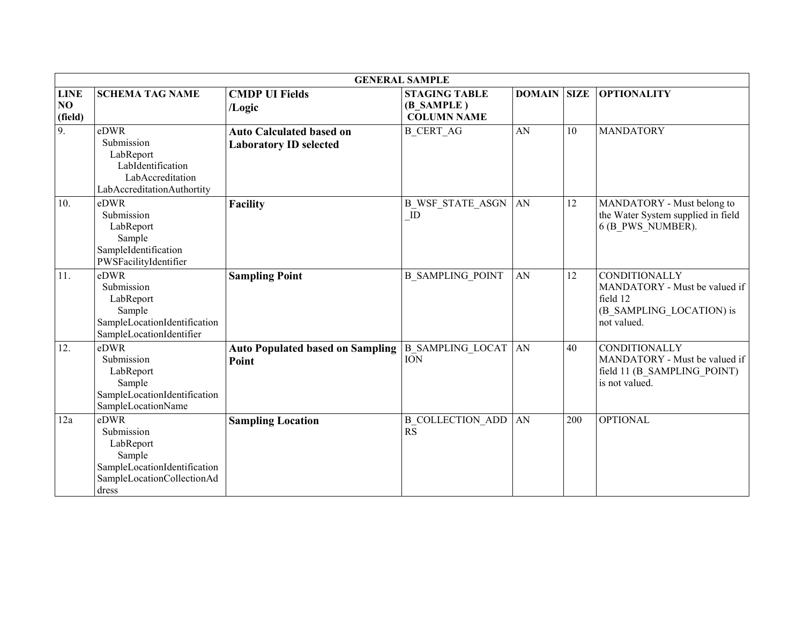|                              |                                                                                                                  |                                                                  | <b>GENERAL SAMPLE</b>                                    |                    |     |                                                                                                              |
|------------------------------|------------------------------------------------------------------------------------------------------------------|------------------------------------------------------------------|----------------------------------------------------------|--------------------|-----|--------------------------------------------------------------------------------------------------------------|
| <b>LINE</b><br>NO<br>(field) | <b>SCHEMA TAG NAME</b>                                                                                           | <b>CMDP UI Fields</b><br>/Logic                                  | <b>STAGING TABLE</b><br>(B SAMPLE)<br><b>COLUMN NAME</b> | <b>DOMAIN SIZE</b> |     | <b>OPTIONALITY</b>                                                                                           |
| 9.                           | eDWR<br>Submission<br>LabReport<br>LabIdentification<br>LabAccreditation<br>LabAccreditationAuthortity           | <b>Auto Calculated based on</b><br><b>Laboratory ID selected</b> | <b>B CERT AG</b>                                         | AN                 | 10  | <b>MANDATORY</b>                                                                                             |
| 10.                          | eDWR<br>Submission<br>LabReport<br>Sample<br>SampleIdentification<br>PWSFacilityIdentifier                       | <b>Facility</b>                                                  | <b>B WSF STATE ASGN</b><br>ID                            | AN                 | 12  | MANDATORY - Must belong to<br>the Water System supplied in field<br>6 (B PWS NUMBER).                        |
| $\overline{11}$ .            | eDWR<br>Submission<br>LabReport<br>Sample<br>SampleLocationIdentification<br>SampleLocationIdentifier            | <b>Sampling Point</b>                                            | <b>B SAMPLING POINT</b>                                  | AN                 | 12  | <b>CONDITIONALLY</b><br>MANDATORY - Must be valued if<br>field 12<br>(B SAMPLING_LOCATION) is<br>not valued. |
| 12.                          | eDWR<br>Submission<br>LabReport<br>Sample<br>SampleLocationIdentification<br>SampleLocationName                  | <b>Auto Populated based on Sampling</b><br>Point                 | <b>B_SAMPLING_LOCAT</b><br><b>ION</b>                    | AN                 | 40  | <b>CONDITIONALLY</b><br>MANDATORY - Must be valued if<br>field 11 (B SAMPLING POINT)<br>is not valued.       |
| 12a                          | eDWR<br>Submission<br>LabReport<br>Sample<br>SampleLocationIdentification<br>SampleLocationCollectionAd<br>dress | <b>Sampling Location</b>                                         | <b>B COLLECTION ADD</b><br><b>RS</b>                     | AN                 | 200 | <b>OPTIONAL</b>                                                                                              |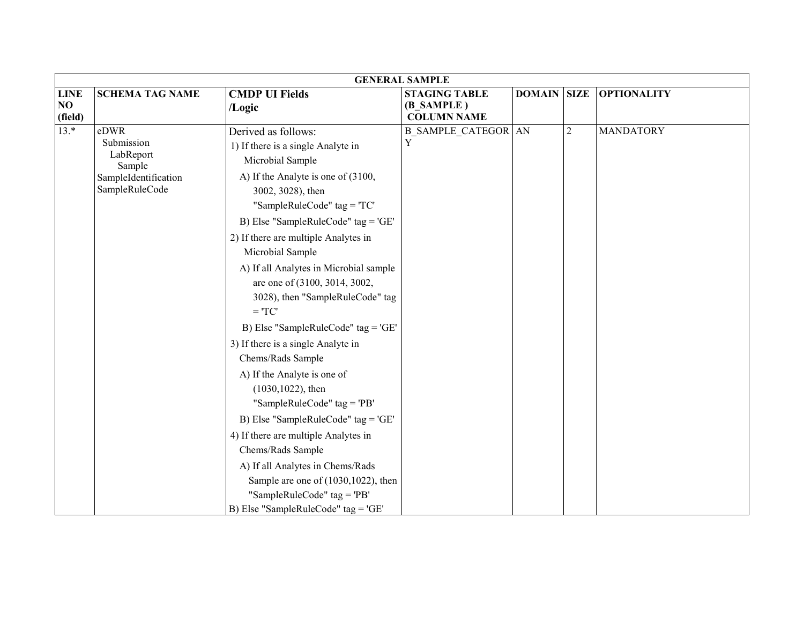|                              | <b>GENERAL SAMPLE</b>                                                               |                                                                                                                                                   |                                                          |                    |                |                    |
|------------------------------|-------------------------------------------------------------------------------------|---------------------------------------------------------------------------------------------------------------------------------------------------|----------------------------------------------------------|--------------------|----------------|--------------------|
| <b>LINE</b><br>NO<br>(field) | <b>SCHEMA TAG NAME</b>                                                              | <b>CMDP UI Fields</b><br>/Logic                                                                                                                   | <b>STAGING TABLE</b><br>(B SAMPLE)<br><b>COLUMN NAME</b> | <b>DOMAIN SIZE</b> |                | <b>OPTIONALITY</b> |
| $13.*$                       | eDWR<br>Submission<br>LabReport<br>Sample<br>SampleIdentification<br>SampleRuleCode | Derived as follows:<br>1) If there is a single Analyte in<br>Microbial Sample<br>A) If the Analyte is one of (3100,<br>3002, 3028), then          | <b>B_SAMPLE_CATEGOR AN</b><br>$\rm{Y}$                   |                    | $\overline{2}$ | <b>MANDATORY</b>   |
|                              |                                                                                     | "SampleRuleCode" $tag = T C'$<br>B) Else "SampleRuleCode" tag = 'GE'<br>2) If there are multiple Analytes in                                      |                                                          |                    |                |                    |
|                              |                                                                                     | Microbial Sample<br>A) If all Analytes in Microbial sample<br>are one of (3100, 3014, 3002,<br>3028), then "SampleRuleCode" tag<br>$=$ 'TC'       |                                                          |                    |                |                    |
|                              |                                                                                     | B) Else "SampleRuleCode" tag = 'GE'<br>3) If there is a single Analyte in<br>Chems/Rads Sample                                                    |                                                          |                    |                |                    |
|                              |                                                                                     | A) If the Analyte is one of<br>$(1030, 1022)$ , then<br>"SampleRuleCode" tag = 'PB'                                                               |                                                          |                    |                |                    |
|                              |                                                                                     | B) Else "SampleRuleCode" tag = 'GE'<br>4) If there are multiple Analytes in<br>Chems/Rads Sample                                                  |                                                          |                    |                |                    |
|                              |                                                                                     | A) If all Analytes in Chems/Rads<br>Sample are one of $(1030, 1022)$ , then<br>"SampleRuleCode" tag = 'PB'<br>B) Else "SampleRuleCode" tag = 'GE' |                                                          |                    |                |                    |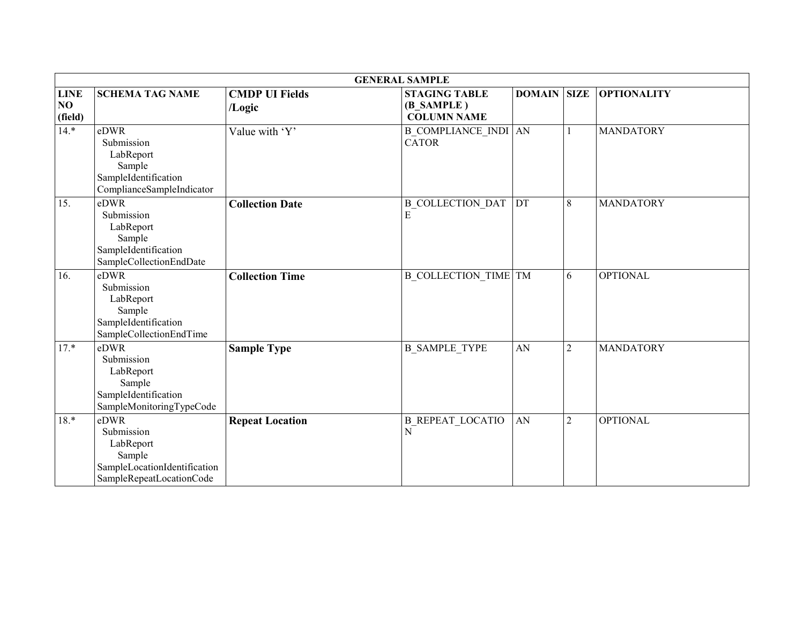|                              |                                                                                                       |                                 | <b>GENERAL SAMPLE</b>                                    |                    |                |                    |
|------------------------------|-------------------------------------------------------------------------------------------------------|---------------------------------|----------------------------------------------------------|--------------------|----------------|--------------------|
| <b>LINE</b><br>NO<br>(field) | <b>SCHEMA TAG NAME</b>                                                                                | <b>CMDP UI Fields</b><br>/Logic | <b>STAGING TABLE</b><br>(B SAMPLE)<br><b>COLUMN NAME</b> | <b>DOMAIN SIZE</b> |                | <b>OPTIONALITY</b> |
| $14.*$                       | eDWR<br>Submission<br>LabReport<br>Sample<br>SampleIdentification<br>ComplianceSampleIndicator        | Value with 'Y'                  | <b>B_COMPLIANCE_INDI</b> AN<br><b>CATOR</b>              |                    |                | <b>MANDATORY</b>   |
| 15.                          | eDWR<br>Submission<br>LabReport<br>Sample<br>SampleIdentification<br>SampleCollectionEndDate          | <b>Collection Date</b>          | <b>B COLLECTION DAT</b><br>E                             | DT                 | 8              | <b>MANDATORY</b>   |
| 16.                          | eDWR<br>Submission<br>LabReport<br>Sample<br>SampleIdentification<br>SampleCollectionEndTime          | <b>Collection Time</b>          | <b>B COLLECTION TIME TM</b>                              |                    | 6              | <b>OPTIONAL</b>    |
| $17.*$                       | eDWR<br>Submission<br>LabReport<br>Sample<br>SampleIdentification<br>SampleMonitoringTypeCode         | <b>Sample Type</b>              | <b>B SAMPLE TYPE</b>                                     | AN                 | $\overline{2}$ | <b>MANDATORY</b>   |
| $18.*$                       | eDWR<br>Submission<br>LabReport<br>Sample<br>SampleLocationIdentification<br>SampleRepeatLocationCode | <b>Repeat Location</b>          | <b>B REPEAT LOCATIO</b><br>$\overline{\rm N}$            | AN                 | $\overline{2}$ | <b>OPTIONAL</b>    |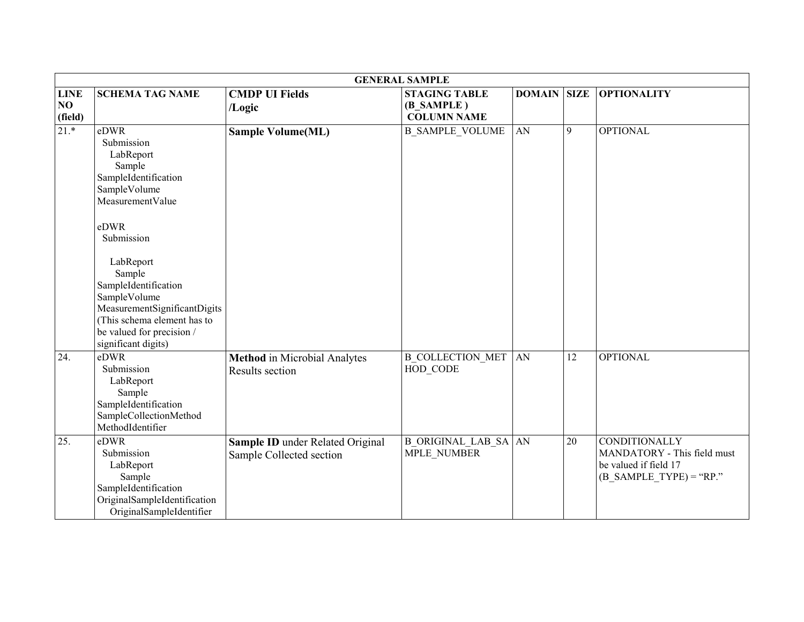|                              |                                                                                                                                                                                                                                                                                                               |                                                              | <b>GENERAL SAMPLE</b>                                    |               |             |                                                                                                    |
|------------------------------|---------------------------------------------------------------------------------------------------------------------------------------------------------------------------------------------------------------------------------------------------------------------------------------------------------------|--------------------------------------------------------------|----------------------------------------------------------|---------------|-------------|----------------------------------------------------------------------------------------------------|
| <b>LINE</b><br>NO<br>(field) | <b>SCHEMA TAG NAME</b>                                                                                                                                                                                                                                                                                        | <b>CMDP UI Fields</b><br>/Logic                              | <b>STAGING TABLE</b><br>(B SAMPLE)<br><b>COLUMN NAME</b> | <b>DOMAIN</b> | <b>SIZE</b> | <b>OPTIONALITY</b>                                                                                 |
| $21.*$                       | eDWR<br>Submission<br>LabReport<br>Sample<br>SampleIdentification<br>SampleVolume<br>MeasurementValue<br>eDWR<br>Submission<br>LabReport<br>Sample<br>SampleIdentification<br>SampleVolume<br>MeasurementSignificantDigits<br>(This schema element has to<br>be valued for precision /<br>significant digits) | <b>Sample Volume(ML)</b>                                     | <b>B SAMPLE VOLUME</b>                                   | AN            | 9           | <b>OPTIONAL</b>                                                                                    |
| 24.                          | eDWR<br>Submission<br>LabReport<br>Sample<br>SampleIdentification<br>SampleCollectionMethod<br>MethodIdentifier                                                                                                                                                                                               | <b>Method</b> in Microbial Analytes<br>Results section       | <b>B COLLECTION MET AN</b><br>HOD CODE                   |               | 12          | <b>OPTIONAL</b>                                                                                    |
| 25.                          | eDWR<br>Submission<br>LabReport<br>Sample<br>SampleIdentification<br>OriginalSampleIdentification<br>OriginalSampleIdentifier                                                                                                                                                                                 | Sample ID under Related Original<br>Sample Collected section | <b>B ORIGINAL LAB SA AN</b><br>MPLE NUMBER               |               | 20          | CONDITIONALLY<br>MANDATORY - This field must<br>be valued if field 17<br>$(B$ SAMPLE TYPE) = "RP." |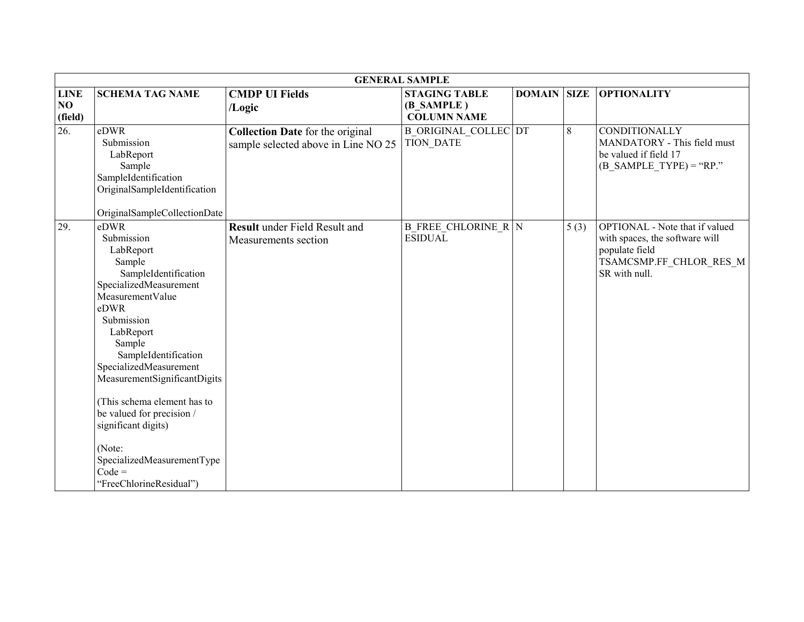|                   |                                                                                                                                                                                                                                                                                                                                                                                                                  |                                                                                | <b>GENERAL SAMPLE</b>                           |               |             |                                                                                                                                       |
|-------------------|------------------------------------------------------------------------------------------------------------------------------------------------------------------------------------------------------------------------------------------------------------------------------------------------------------------------------------------------------------------------------------------------------------------|--------------------------------------------------------------------------------|-------------------------------------------------|---------------|-------------|---------------------------------------------------------------------------------------------------------------------------------------|
| <b>LINE</b>       | <b>SCHEMA TAG NAME</b>                                                                                                                                                                                                                                                                                                                                                                                           | <b>CMDP UI Fields</b>                                                          | <b>STAGING TABLE</b>                            | <b>DOMAIN</b> | <b>SIZE</b> | <b>OPTIONALITY</b>                                                                                                                    |
| NO<br>(field)     |                                                                                                                                                                                                                                                                                                                                                                                                                  | /Logic                                                                         | (B SAMPLE)<br><b>COLUMN NAME</b>                |               |             |                                                                                                                                       |
| $\overline{26}$ . | eDWR<br>Submission<br>LabReport<br>Sample<br>SampleIdentification<br>OriginalSampleIdentification<br>OriginalSampleCollectionDate                                                                                                                                                                                                                                                                                | <b>Collection Date</b> for the original<br>sample selected above in Line NO 25 | <b>B ORIGINAL COLLEC DT</b><br><b>TION DATE</b> |               | 8           | <b>CONDITIONALLY</b><br>MANDATORY - This field must<br>be valued if field 17<br>$(B_SAMPLE_TYPE) = "RP."$                             |
| 29.               | eDWR<br>Submission<br>LabReport<br>Sample<br>SampleIdentification<br>SpecializedMeasurement<br>MeasurementValue<br>eDWR<br>Submission<br>LabReport<br>Sample<br>SampleIdentification<br>SpecializedMeasurement<br>MeasurementSignificantDigits<br>(This schema element has to<br>be valued for precision /<br>significant digits)<br>(Note:<br>SpecializedMeasurementType<br>$Code =$<br>"FreeChlorineResidual") | <b>Result</b> under Field Result and<br>Measurements section                   | <b>B</b> FREE CHLORINE $R N$<br><b>ESIDUAL</b>  |               | 5(3)        | <b>OPTIONAL</b> - Note that if valued<br>with spaces, the software will<br>populate field<br>TSAMCSMP.FF_CHLOR_RES_M<br>SR with null. |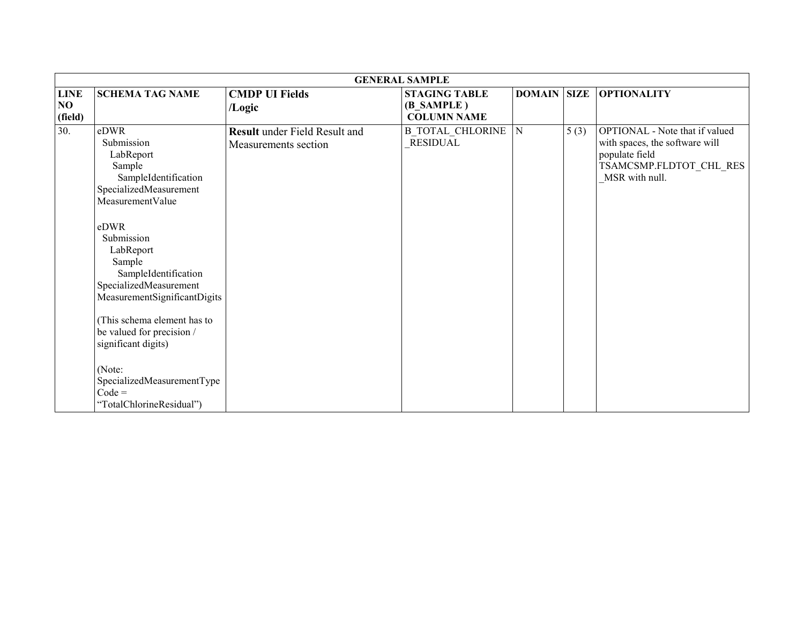|                              |                                                                                                                                                                                                                                                                                                                                                                                                                   |                                                              | <b>GENERAL SAMPLE</b>                                    |                |             |                                                                                                                                 |
|------------------------------|-------------------------------------------------------------------------------------------------------------------------------------------------------------------------------------------------------------------------------------------------------------------------------------------------------------------------------------------------------------------------------------------------------------------|--------------------------------------------------------------|----------------------------------------------------------|----------------|-------------|---------------------------------------------------------------------------------------------------------------------------------|
| <b>LINE</b><br>NO<br>(field) | <b>SCHEMA TAG NAME</b>                                                                                                                                                                                                                                                                                                                                                                                            | <b>CMDP UI Fields</b><br>/Logic                              | <b>STAGING TABLE</b><br>(B SAMPLE)<br><b>COLUMN NAME</b> | <b>DOMAIN</b>  | <b>SIZE</b> | <b>OPTIONALITY</b>                                                                                                              |
| 30.                          | eDWR<br>Submission<br>LabReport<br>Sample<br>SampleIdentification<br>SpecializedMeasurement<br>MeasurementValue<br>eDWR<br>Submission<br>LabReport<br>Sample<br>SampleIdentification<br>SpecializedMeasurement<br>MeasurementSignificantDigits<br>(This schema element has to<br>be valued for precision /<br>significant digits)<br>(Note:<br>SpecializedMeasurementType<br>$Code =$<br>"TotalChlorineResidual") | <b>Result</b> under Field Result and<br>Measurements section | <b>B TOTAL CHLORINE</b><br><b>RESIDUAL</b>               | $\overline{N}$ | 5(3)        | OPTIONAL - Note that if valued<br>with spaces, the software will<br>populate field<br>TSAMCSMP.FLDTOT_CHL_RES<br>MSR with null. |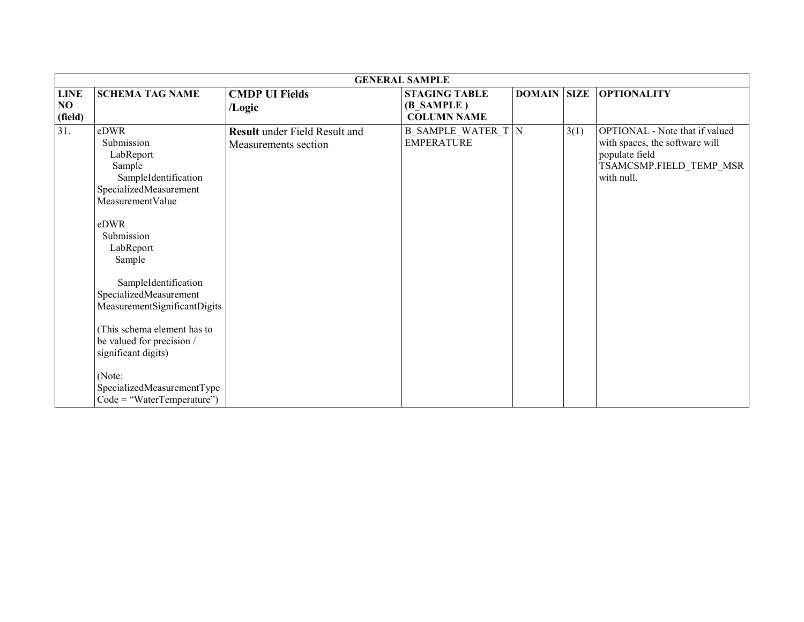|                              |                                                                                                                                                                                                                                                                                                                                                                                                           |                                                              | <b>GENERAL SAMPLE</b>                                    |                    |      |                                                                                                                             |
|------------------------------|-----------------------------------------------------------------------------------------------------------------------------------------------------------------------------------------------------------------------------------------------------------------------------------------------------------------------------------------------------------------------------------------------------------|--------------------------------------------------------------|----------------------------------------------------------|--------------------|------|-----------------------------------------------------------------------------------------------------------------------------|
| <b>LINE</b><br>NO<br>(field) | <b>SCHEMA TAG NAME</b>                                                                                                                                                                                                                                                                                                                                                                                    | <b>CMDP UI Fields</b><br>/Logic                              | <b>STAGING TABLE</b><br>(B SAMPLE)<br><b>COLUMN NAME</b> | <b>DOMAIN SIZE</b> |      | <b>OPTIONALITY</b>                                                                                                          |
| 31.                          | eDWR<br>Submission<br>LabReport<br>Sample<br>SampleIdentification<br>SpecializedMeasurement<br>MeasurementValue<br>eDWR<br>Submission<br>LabReport<br>Sample<br>SampleIdentification<br>SpecializedMeasurement<br>MeasurementSignificantDigits<br>(This schema element has to<br>be valued for precision /<br>significant digits)<br>(Note:<br>SpecializedMeasurementType<br>$Code = "WaterTemperature")$ | <b>Result</b> under Field Result and<br>Measurements section | <b>B_SAMPLE_WATER_T N</b><br><b>EMPERATURE</b>           |                    | 3(1) | OPTIONAL - Note that if valued<br>with spaces, the software will<br>populate field<br>TSAMCSMP.FIELD_TEMP_MSR<br>with null. |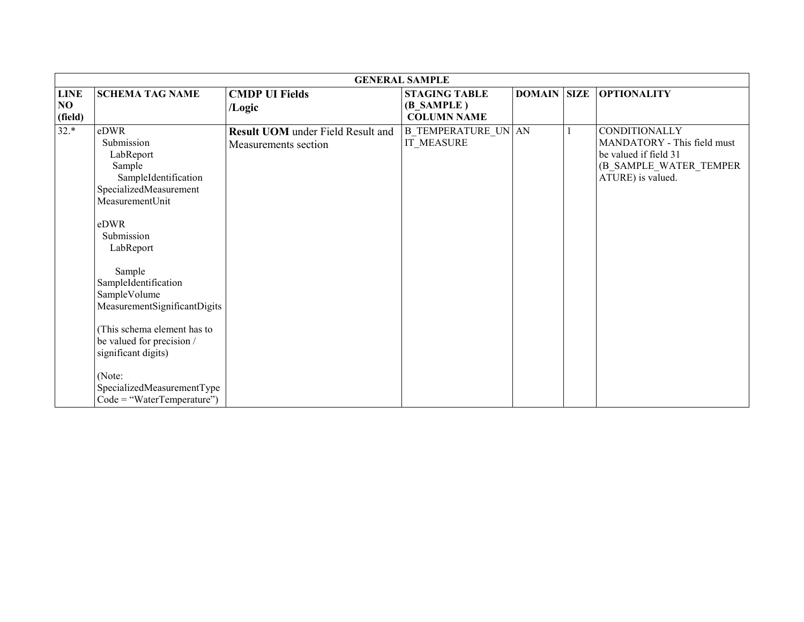|                              |                                                                                                                                                                                                                                                                                                                                                                                                |                                                                  | <b>GENERAL SAMPLE</b>                                    |                    |                                                                                                                      |
|------------------------------|------------------------------------------------------------------------------------------------------------------------------------------------------------------------------------------------------------------------------------------------------------------------------------------------------------------------------------------------------------------------------------------------|------------------------------------------------------------------|----------------------------------------------------------|--------------------|----------------------------------------------------------------------------------------------------------------------|
| <b>LINE</b><br>NO<br>(field) | <b>SCHEMA TAG NAME</b>                                                                                                                                                                                                                                                                                                                                                                         | <b>CMDP UI Fields</b><br>/Logic                                  | <b>STAGING TABLE</b><br>(B SAMPLE)<br><b>COLUMN NAME</b> | <b>DOMAIN SIZE</b> | <b>OPTIONALITY</b>                                                                                                   |
| $32.*$                       | eDWR<br>Submission<br>LabReport<br>Sample<br>SampleIdentification<br>SpecializedMeasurement<br>MeasurementUnit<br>eDWR<br>Submission<br>LabReport<br>Sample<br>SampleIdentification<br>SampleVolume<br>MeasurementSignificantDigits<br>(This schema element has to<br>be valued for precision /<br>significant digits)<br>(Note:<br>SpecializedMeasurementType<br>$Code = "WaterTemperature")$ | <b>Result UOM</b> under Field Result and<br>Measurements section | <b>B TEMPERATURE UN AN</b><br>IT MEASURE                 |                    | CONDITIONALLY<br>MANDATORY - This field must<br>be valued if field 31<br>(B SAMPLE WATER TEMPER<br>ATURE) is valued. |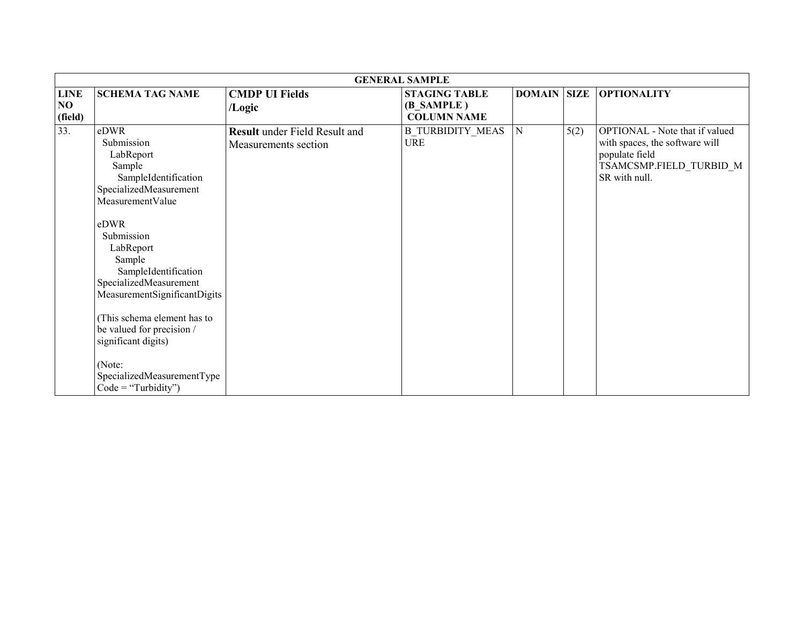|                              |                                                                                                                                                                                                                                                                                                                                                                                                   |                                                              | <b>GENERAL SAMPLE</b>                                    |                    |      |                                                                                                                                |
|------------------------------|---------------------------------------------------------------------------------------------------------------------------------------------------------------------------------------------------------------------------------------------------------------------------------------------------------------------------------------------------------------------------------------------------|--------------------------------------------------------------|----------------------------------------------------------|--------------------|------|--------------------------------------------------------------------------------------------------------------------------------|
| <b>LINE</b><br>NO<br>(field) | <b>SCHEMA TAG NAME</b>                                                                                                                                                                                                                                                                                                                                                                            | <b>CMDP UI Fields</b><br>/Logic                              | <b>STAGING TABLE</b><br>(B SAMPLE)<br><b>COLUMN NAME</b> | <b>DOMAIN SIZE</b> |      | <b>OPTIONALITY</b>                                                                                                             |
| 33.                          | eDWR<br>Submission<br>LabReport<br>Sample<br>SampleIdentification<br>SpecializedMeasurement<br>MeasurementValue<br>eDWR<br>Submission<br>LabReport<br>Sample<br>SampleIdentification<br>SpecializedMeasurement<br>MeasurementSignificantDigits<br>This schema element has to<br>be valued for precision /<br>significant digits)<br>(Note:<br>SpecializedMeasurementType<br>$Code = "Turbidity")$ | <b>Result</b> under Field Result and<br>Measurements section | <b>B_TURBIDITY_MEAS</b><br><b>URE</b>                    | $\mathbf N$        | 5(2) | OPTIONAL - Note that if valued<br>with spaces, the software will<br>populate field<br>TSAMCSMP.FIELD_TURBID_M<br>SR with null. |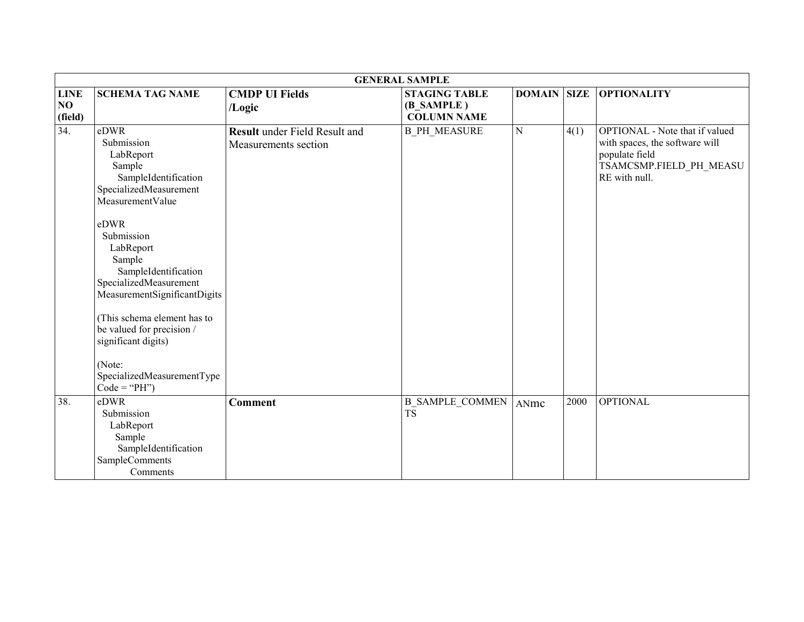|                              |                                                                                                                                                                                                                                                                                                                                                                                             |                                                              | <b>GENERAL SAMPLE</b>                                    |               |             |                                                                                                                                |
|------------------------------|---------------------------------------------------------------------------------------------------------------------------------------------------------------------------------------------------------------------------------------------------------------------------------------------------------------------------------------------------------------------------------------------|--------------------------------------------------------------|----------------------------------------------------------|---------------|-------------|--------------------------------------------------------------------------------------------------------------------------------|
| <b>LINE</b><br>NO<br>(field) | <b>SCHEMA TAG NAME</b>                                                                                                                                                                                                                                                                                                                                                                      | <b>CMDP UI Fields</b><br>/Logic                              | <b>STAGING TABLE</b><br>(B_SAMPLE)<br><b>COLUMN NAME</b> | <b>DOMAIN</b> | <b>SIZE</b> | <b>OPTIONALITY</b>                                                                                                             |
| $\overline{34}$ .            | eDWR<br>Submission<br>LabReport<br>Sample<br>SampleIdentification<br>SpecializedMeasurement<br>MeasurementValue<br>eDWR<br>Submission<br>LabReport<br>Sample<br>SampleIdentification<br>SpecializedMeasurement<br>MeasurementSignificantDigits<br>(This schema element has to<br>be valued for precision /<br>significant digits)<br>(Note:<br>SpecializedMeasurementType<br>$Code = "PH")$ | <b>Result</b> under Field Result and<br>Measurements section | <b>B PH MEASURE</b>                                      | $\mathbf N$   | 4(1)        | OPTIONAL - Note that if valued<br>with spaces, the software will<br>populate field<br>TSAMCSMP.FIELD_PH_MEASU<br>RE with null. |
| 38.                          | eDWR<br>Submission<br>LabReport<br>Sample<br>SampleIdentification<br>SampleComments<br>Comments                                                                                                                                                                                                                                                                                             | <b>Comment</b>                                               | <b>B SAMPLE COMMEN</b><br>$T\overline{S}$                | ANmc          | 2000        | <b>OPTIONAL</b>                                                                                                                |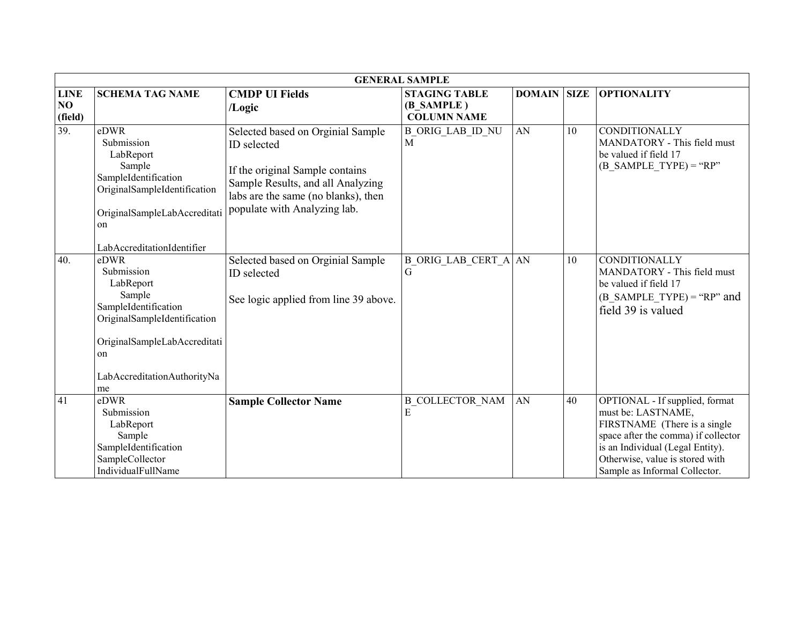|                              | <b>GENERAL SAMPLE</b>                                                                                                                                                        |                                                                                                                                                                                                 |                                                          |                    |    |                                                                                                                                                                                                                                     |  |  |  |
|------------------------------|------------------------------------------------------------------------------------------------------------------------------------------------------------------------------|-------------------------------------------------------------------------------------------------------------------------------------------------------------------------------------------------|----------------------------------------------------------|--------------------|----|-------------------------------------------------------------------------------------------------------------------------------------------------------------------------------------------------------------------------------------|--|--|--|
| <b>LINE</b><br>NO<br>(field) | <b>SCHEMA TAG NAME</b>                                                                                                                                                       | <b>CMDP UI Fields</b><br>/Logic                                                                                                                                                                 | <b>STAGING TABLE</b><br>(B SAMPLE)<br><b>COLUMN NAME</b> | <b>DOMAIN SIZE</b> |    | <b>OPTIONALITY</b>                                                                                                                                                                                                                  |  |  |  |
| 39.                          | eDWR<br>Submission<br>LabReport<br>Sample<br>SampleIdentification<br>OriginalSampleIdentification<br>OriginalSampleLabAccreditati<br>on<br>LabAccreditationIdentifier        | Selected based on Orginial Sample<br>ID selected<br>If the original Sample contains<br>Sample Results, and all Analyzing<br>labs are the same (no blanks), then<br>populate with Analyzing lab. | <b>B ORIG LAB ID NU</b><br>M                             | AN                 | 10 | CONDITIONALLY<br>MANDATORY - This field must<br>be valued if field 17<br>$(B$ SAMPLE TYPE) = "RP"                                                                                                                                   |  |  |  |
| 40.                          | eDWR<br>Submission<br>LabReport<br>Sample<br>SampleIdentification<br>OriginalSampleIdentification<br>OriginalSampleLabAccreditati<br>on<br>LabAccreditationAuthorityNa<br>me | Selected based on Orginial Sample<br>ID selected<br>See logic applied from line 39 above.                                                                                                       | <b>B ORIG LAB CERT A AN</b><br>G                         |                    | 10 | CONDITIONALLY<br>MANDATORY - This field must<br>be valued if field 17<br>$(B$ SAMPLE TYPE) = "RP" and<br>field 39 is valued                                                                                                         |  |  |  |
| 41                           | eDWR<br>Submission<br>LabReport<br>Sample<br>SampleIdentification<br>SampleCollector<br>IndividualFullName                                                                   | <b>Sample Collector Name</b>                                                                                                                                                                    | <b>B COLLECTOR NAM</b><br>E                              | AN                 | 40 | OPTIONAL - If supplied, format<br>must be: LASTNAME,<br>FIRSTNAME (There is a single<br>space after the comma) if collector<br>is an Individual (Legal Entity).<br>Otherwise, value is stored with<br>Sample as Informal Collector. |  |  |  |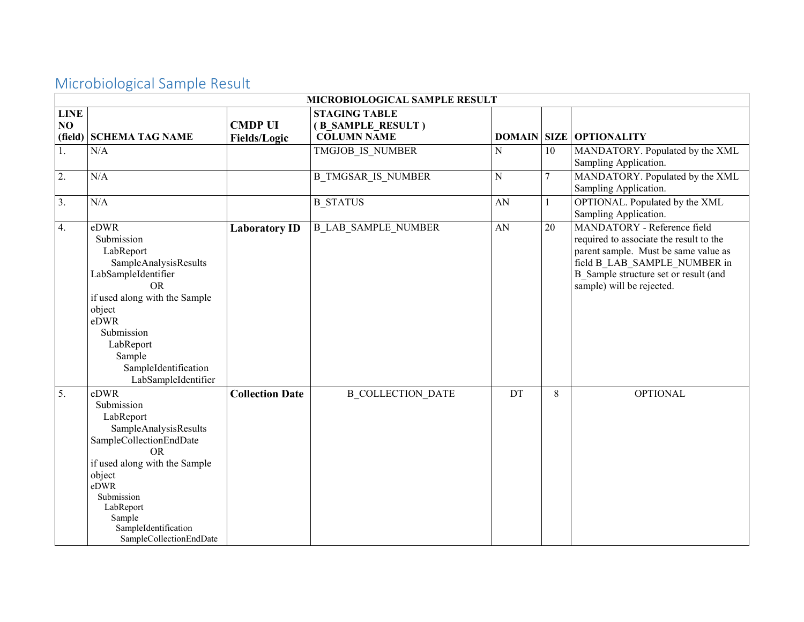### Microbiological Sample Result

|                   | MICROBIOLOGICAL SAMPLE RESULT                                                                                                                                                                                                               |                                       |                                                                 |             |                |                                                                                                                                                                                                                      |  |  |
|-------------------|---------------------------------------------------------------------------------------------------------------------------------------------------------------------------------------------------------------------------------------------|---------------------------------------|-----------------------------------------------------------------|-------------|----------------|----------------------------------------------------------------------------------------------------------------------------------------------------------------------------------------------------------------------|--|--|
| <b>LINE</b><br>NO | (field) SCHEMA TAG NAME                                                                                                                                                                                                                     | <b>CMDP UI</b><br><b>Fields/Logic</b> | <b>STAGING TABLE</b><br>(B_SAMPLE_RESULT)<br><b>COLUMN NAME</b> |             |                | <b>DOMAIN SIZE OPTIONALITY</b>                                                                                                                                                                                       |  |  |
| 1.                | N/A                                                                                                                                                                                                                                         |                                       | TMGJOB IS NUMBER                                                | $\mathbf N$ | 10             | MANDATORY. Populated by the XML<br>Sampling Application.                                                                                                                                                             |  |  |
| 2.                | N/A                                                                                                                                                                                                                                         |                                       | <b>B TMGSAR IS NUMBER</b>                                       | ${\bf N}$   | $\overline{7}$ | MANDATORY. Populated by the XML<br>Sampling Application.                                                                                                                                                             |  |  |
| 3.                | N/A                                                                                                                                                                                                                                         |                                       | <b>B STATUS</b>                                                 | AN          |                | OPTIONAL. Populated by the XML<br>Sampling Application.                                                                                                                                                              |  |  |
| 4.                | eDWR<br>Submission<br>LabReport<br>SampleAnalysisResults<br>LabSampleIdentifier<br><b>OR</b><br>if used along with the Sample<br>object<br>eDWR<br>Submission<br>LabReport<br>Sample<br>SampleIdentification<br>LabSampleIdentifier         | <b>Laboratory ID</b>                  | <b>B_LAB_SAMPLE_NUMBER</b>                                      | AN          | 20             | MANDATORY - Reference field<br>required to associate the result to the<br>parent sample. Must be same value as<br>field B LAB SAMPLE NUMBER in<br>B Sample structure set or result (and<br>sample) will be rejected. |  |  |
| $\overline{5}$ .  | eDWR<br>Submission<br>LabReport<br>SampleAnalysisResults<br>SampleCollectionEndDate<br><b>OR</b><br>if used along with the Sample<br>object<br>eDWR<br>Submission<br>LabReport<br>Sample<br>SampleIdentification<br>SampleCollectionEndDate | <b>Collection Date</b>                | <b>B COLLECTION DATE</b>                                        | DT          | 8              | <b>OPTIONAL</b>                                                                                                                                                                                                      |  |  |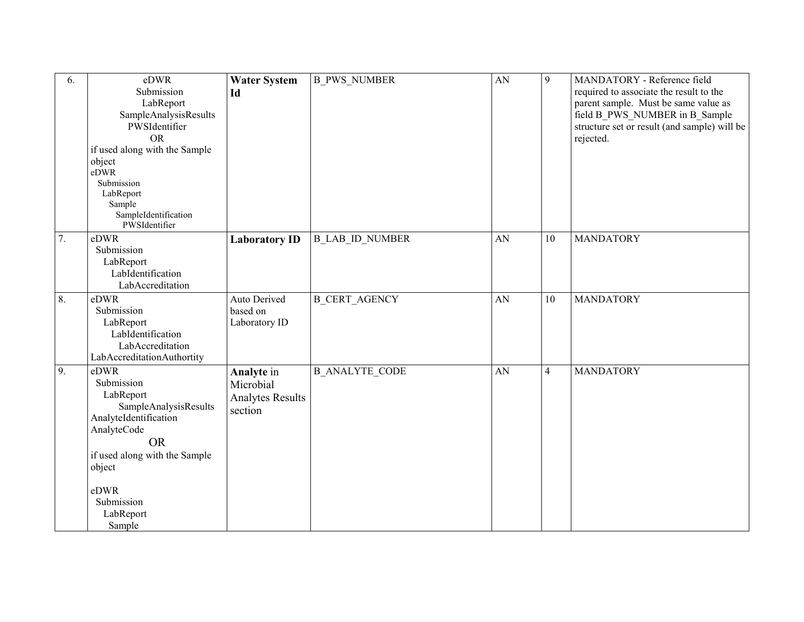| 6. | eDWR                                  | <b>Water System</b>     | <b>B_PWS_NUMBER</b>    | AN | 9              | MANDATORY - Reference field                  |
|----|---------------------------------------|-------------------------|------------------------|----|----------------|----------------------------------------------|
|    | Submission                            | Id                      |                        |    |                | required to associate the result to the      |
|    | LabReport                             |                         |                        |    |                | parent sample. Must be same value as         |
|    | SampleAnalysisResults                 |                         |                        |    |                | field B PWS NUMBER in B Sample               |
|    | PWSIdentifier                         |                         |                        |    |                | structure set or result (and sample) will be |
|    | <b>OR</b>                             |                         |                        |    |                | rejected.                                    |
|    | if used along with the Sample         |                         |                        |    |                |                                              |
|    | object                                |                         |                        |    |                |                                              |
|    | eDWR                                  |                         |                        |    |                |                                              |
|    | Submission                            |                         |                        |    |                |                                              |
|    | LabReport                             |                         |                        |    |                |                                              |
|    | Sample                                |                         |                        |    |                |                                              |
|    | SampleIdentification<br>PWSIdentifier |                         |                        |    |                |                                              |
|    |                                       |                         |                        |    |                |                                              |
| 7. | eDWR                                  | <b>Laboratory ID</b>    | <b>B LAB ID NUMBER</b> | AN | 10             | <b>MANDATORY</b>                             |
|    | Submission                            |                         |                        |    |                |                                              |
|    | LabReport                             |                         |                        |    |                |                                              |
|    | LabIdentification                     |                         |                        |    |                |                                              |
|    | LabAccreditation                      |                         |                        |    |                |                                              |
| 8. | eDWR                                  | Auto Derived            | <b>B CERT AGENCY</b>   | AN | 10             | <b>MANDATORY</b>                             |
|    | Submission                            | based on                |                        |    |                |                                              |
|    | LabReport                             | Laboratory ID           |                        |    |                |                                              |
|    | LabIdentification                     |                         |                        |    |                |                                              |
|    | LabAccreditation                      |                         |                        |    |                |                                              |
|    | LabAccreditationAuthortity            |                         |                        |    |                |                                              |
| 9. | eDWR                                  | Analyte in              | <b>B ANALYTE CODE</b>  | AN | $\overline{4}$ | <b>MANDATORY</b>                             |
|    | Submission                            | Microbial               |                        |    |                |                                              |
|    | LabReport                             | <b>Analytes Results</b> |                        |    |                |                                              |
|    | SampleAnalysisResults                 | section                 |                        |    |                |                                              |
|    | AnalyteIdentification                 |                         |                        |    |                |                                              |
|    | AnalyteCode                           |                         |                        |    |                |                                              |
|    | <b>OR</b>                             |                         |                        |    |                |                                              |
|    | if used along with the Sample         |                         |                        |    |                |                                              |
|    | object                                |                         |                        |    |                |                                              |
|    |                                       |                         |                        |    |                |                                              |
|    | eDWR                                  |                         |                        |    |                |                                              |
|    | Submission                            |                         |                        |    |                |                                              |
|    | LabReport                             |                         |                        |    |                |                                              |
|    | Sample                                |                         |                        |    |                |                                              |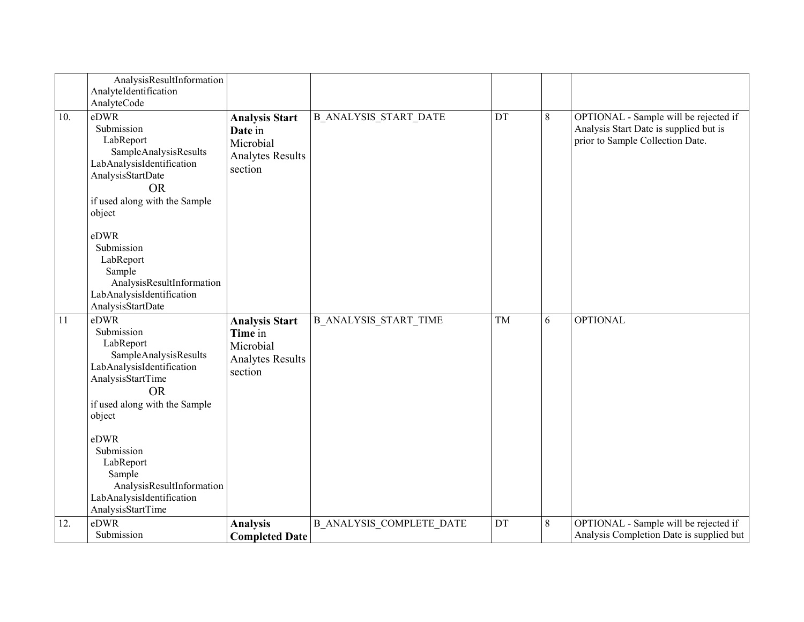|     | AnalysisResultInformation<br>AnalyteIdentification                                                                                                                                                                                                                                                            |                                                                                     |                                 |    |         |                                                                                                                     |
|-----|---------------------------------------------------------------------------------------------------------------------------------------------------------------------------------------------------------------------------------------------------------------------------------------------------------------|-------------------------------------------------------------------------------------|---------------------------------|----|---------|---------------------------------------------------------------------------------------------------------------------|
| 10. | AnalyteCode<br>eDWR<br>Submission<br>LabReport<br>SampleAnalysisResults<br>LabAnalysisIdentification<br>AnalysisStartDate<br><b>OR</b><br>if used along with the Sample<br>object<br>eDWR<br>Submission<br>LabReport<br>Sample<br>AnalysisResultInformation<br>LabAnalysisIdentification<br>AnalysisStartDate | <b>Analysis Start</b><br>Date in<br>Microbial<br><b>Analytes Results</b><br>section | <b>B ANALYSIS START DATE</b>    | DT | 8       | OPTIONAL - Sample will be rejected if<br>Analysis Start Date is supplied but is<br>prior to Sample Collection Date. |
| 11  | eDWR<br>Submission<br>LabReport<br>SampleAnalysisResults<br>LabAnalysisIdentification<br>AnalysisStartTime<br><b>OR</b><br>if used along with the Sample<br>object<br>eDWR<br>Submission<br>LabReport<br>Sample<br>AnalysisResultInformation<br>LabAnalysisIdentification<br>AnalysisStartTime                | <b>Analysis Start</b><br>Time in<br>Microbial<br><b>Analytes Results</b><br>section | <b>B ANALYSIS START TIME</b>    | TM | 6       | <b>OPTIONAL</b>                                                                                                     |
| 12. | eDWR<br>Submission                                                                                                                                                                                                                                                                                            | <b>Analysis</b><br><b>Completed Date</b>                                            | <b>B ANALYSIS COMPLETE DATE</b> | DT | $\,8\,$ | OPTIONAL - Sample will be rejected if<br>Analysis Completion Date is supplied but                                   |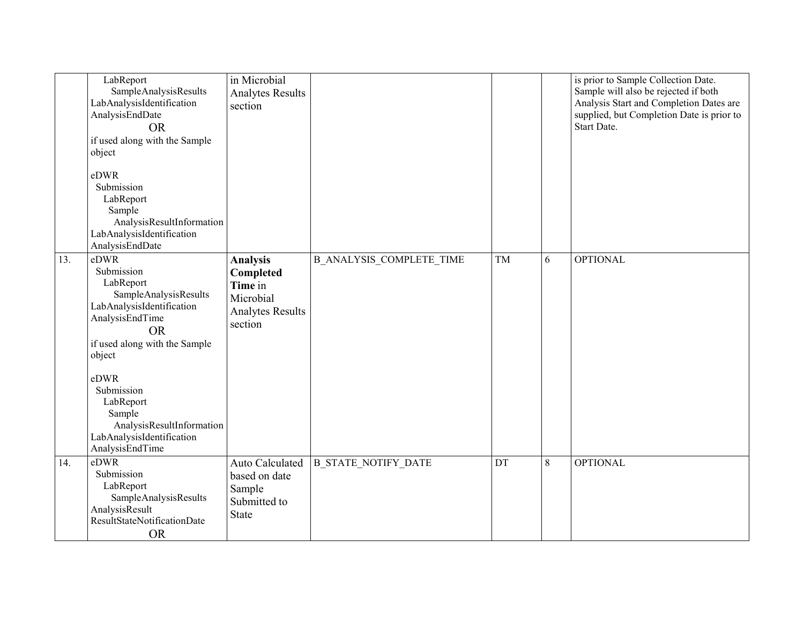|     | LabReport<br>SampleAnalysisResults<br>LabAnalysisIdentification<br>AnalysisEndDate<br><b>OR</b><br>if used along with the Sample<br>object                                                                                                                                                 | in Microbial<br><b>Analytes Results</b><br>section                                         |                                 |    |   | is prior to Sample Collection Date.<br>Sample will also be rejected if both<br>Analysis Start and Completion Dates are<br>supplied, but Completion Date is prior to<br>Start Date. |
|-----|--------------------------------------------------------------------------------------------------------------------------------------------------------------------------------------------------------------------------------------------------------------------------------------------|--------------------------------------------------------------------------------------------|---------------------------------|----|---|------------------------------------------------------------------------------------------------------------------------------------------------------------------------------------|
|     | eDWR<br>Submission<br>LabReport<br>Sample<br>AnalysisResultInformation<br>LabAnalysisIdentification<br>AnalysisEndDate                                                                                                                                                                     |                                                                                            |                                 |    |   |                                                                                                                                                                                    |
| 13. | eDWR<br>Submission<br>LabReport<br>SampleAnalysisResults<br>LabAnalysisIdentification<br>AnalysisEndTime<br><b>OR</b><br>if used along with the Sample<br>object<br>eDWR<br>Submission<br>LabReport<br>Sample<br>AnalysisResultInformation<br>LabAnalysisIdentification<br>AnalysisEndTime | <b>Analysis</b><br>Completed<br>Time in<br>Microbial<br><b>Analytes Results</b><br>section | <b>B_ANALYSIS_COMPLETE_TIME</b> | TM | 6 | <b>OPTIONAL</b>                                                                                                                                                                    |
| 14. | eDWR<br>Submission<br>LabReport<br>SampleAnalysisResults<br>AnalysisResult<br>ResultStateNotificationDate<br><b>OR</b>                                                                                                                                                                     | Auto Calculated<br>based on date<br>Sample<br>Submitted to<br>State                        | <b>B STATE NOTIFY DATE</b>      | DT | 8 | <b>OPTIONAL</b>                                                                                                                                                                    |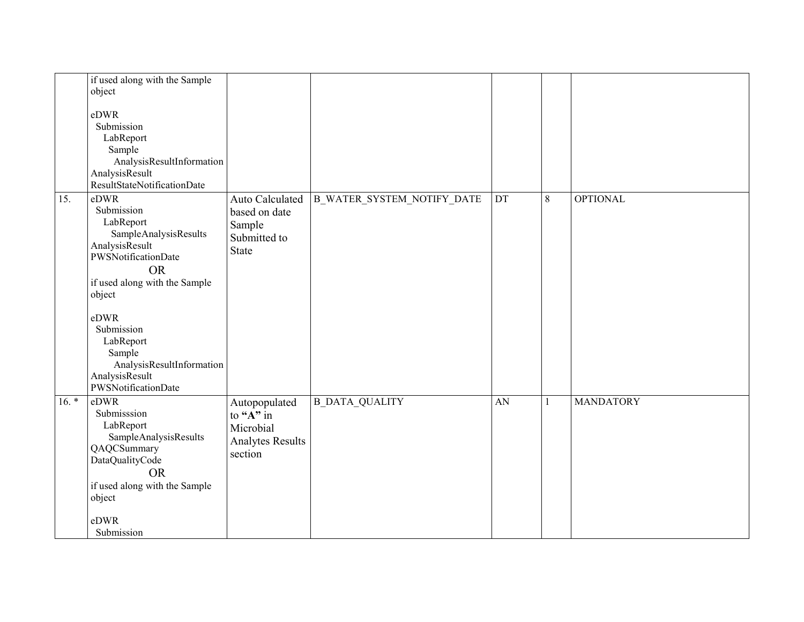|         | if used along with the Sample |                          |                                   |    |              |                  |
|---------|-------------------------------|--------------------------|-----------------------------------|----|--------------|------------------|
|         | object                        |                          |                                   |    |              |                  |
|         |                               |                          |                                   |    |              |                  |
|         | eDWR                          |                          |                                   |    |              |                  |
|         | Submission                    |                          |                                   |    |              |                  |
|         | LabReport                     |                          |                                   |    |              |                  |
|         | Sample                        |                          |                                   |    |              |                  |
|         | AnalysisResultInformation     |                          |                                   |    |              |                  |
|         | AnalysisResult                |                          |                                   |    |              |                  |
|         | ResultStateNotificationDate   |                          |                                   |    |              |                  |
| 15.     | eDWR                          | Auto Calculated          | <b>B_WATER_SYSTEM_NOTIFY_DATE</b> | DT | $8\,$        | <b>OPTIONAL</b>  |
|         | Submission                    | based on date            |                                   |    |              |                  |
|         | LabReport                     | Sample                   |                                   |    |              |                  |
|         | SampleAnalysisResults         | Submitted to             |                                   |    |              |                  |
|         | AnalysisResult                | <b>State</b>             |                                   |    |              |                  |
|         | PWSNotificationDate           |                          |                                   |    |              |                  |
|         | <b>OR</b>                     |                          |                                   |    |              |                  |
|         | if used along with the Sample |                          |                                   |    |              |                  |
|         | object                        |                          |                                   |    |              |                  |
|         |                               |                          |                                   |    |              |                  |
|         | eDWR                          |                          |                                   |    |              |                  |
|         | Submission                    |                          |                                   |    |              |                  |
|         | LabReport                     |                          |                                   |    |              |                  |
|         | Sample                        |                          |                                   |    |              |                  |
|         | AnalysisResultInformation     |                          |                                   |    |              |                  |
|         | AnalysisResult                |                          |                                   |    |              |                  |
|         | PWSNotificationDate           |                          |                                   |    |              |                  |
| $16. *$ | eDWR                          | Autopopulated            | <b>B DATA QUALITY</b>             | AN | $\mathbf{1}$ | <b>MANDATORY</b> |
|         | Submisssion                   | to " $\overline{A}$ " in |                                   |    |              |                  |
|         | LabReport                     | Microbial                |                                   |    |              |                  |
|         | SampleAnalysisResults         | <b>Analytes Results</b>  |                                   |    |              |                  |
|         | QAQCSummary                   | section                  |                                   |    |              |                  |
|         | DataQualityCode               |                          |                                   |    |              |                  |
|         | <b>OR</b>                     |                          |                                   |    |              |                  |
|         | if used along with the Sample |                          |                                   |    |              |                  |
|         | object                        |                          |                                   |    |              |                  |
|         |                               |                          |                                   |    |              |                  |
|         | eDWR                          |                          |                                   |    |              |                  |
|         | Submission                    |                          |                                   |    |              |                  |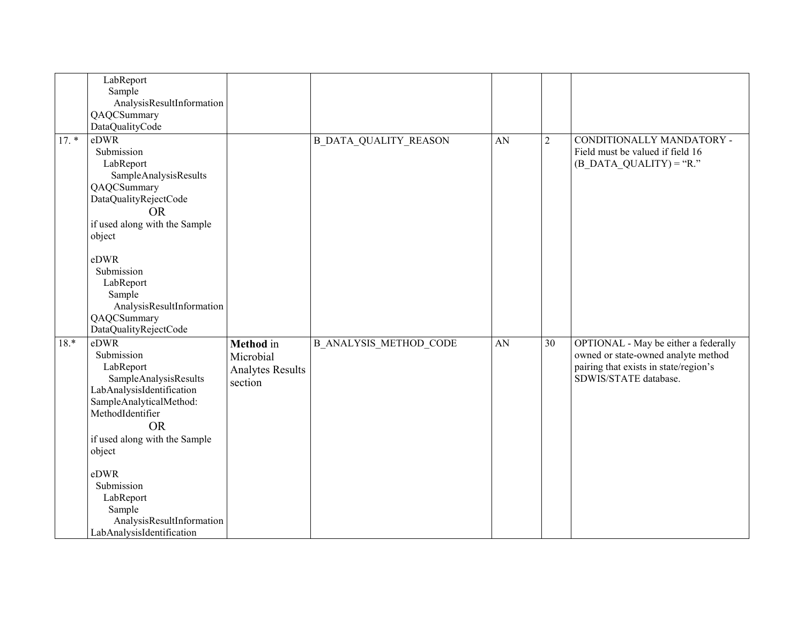|         | LabReport                     |                         |                               |    |                |                                       |
|---------|-------------------------------|-------------------------|-------------------------------|----|----------------|---------------------------------------|
|         | Sample                        |                         |                               |    |                |                                       |
|         | AnalysisResultInformation     |                         |                               |    |                |                                       |
|         | QAQCSummary                   |                         |                               |    |                |                                       |
|         | DataQualityCode               |                         |                               |    |                |                                       |
| $17. *$ | $e\overline{DWR}$             |                         | <b>B_DATA_QUALITY_REASON</b>  | AN | $\overline{2}$ | CONDITIONALLY MANDATORY -             |
|         | Submission                    |                         |                               |    |                | Field must be valued if field 16      |
|         | LabReport                     |                         |                               |    |                | $(B$ DATA QUALITY) = "R."             |
|         | SampleAnalysisResults         |                         |                               |    |                |                                       |
|         | QAQCSummary                   |                         |                               |    |                |                                       |
|         | DataQualityRejectCode         |                         |                               |    |                |                                       |
|         | <b>OR</b>                     |                         |                               |    |                |                                       |
|         | if used along with the Sample |                         |                               |    |                |                                       |
|         | object                        |                         |                               |    |                |                                       |
|         |                               |                         |                               |    |                |                                       |
|         | eDWR                          |                         |                               |    |                |                                       |
|         | Submission                    |                         |                               |    |                |                                       |
|         | LabReport                     |                         |                               |    |                |                                       |
|         | Sample                        |                         |                               |    |                |                                       |
|         | AnalysisResultInformation     |                         |                               |    |                |                                       |
|         | QAQCSummary                   |                         |                               |    |                |                                       |
|         | DataQualityRejectCode         |                         |                               |    |                |                                       |
| $18.*$  | eDWR                          | Method in               | <b>B ANALYSIS METHOD CODE</b> | AN | 30             | OPTIONAL - May be either a federally  |
|         | Submission                    | Microbial               |                               |    |                | owned or state-owned analyte method   |
|         | LabReport                     | <b>Analytes Results</b> |                               |    |                | pairing that exists in state/region's |
|         | SampleAnalysisResults         | section                 |                               |    |                | SDWIS/STATE database.                 |
|         | LabAnalysisIdentification     |                         |                               |    |                |                                       |
|         | SampleAnalyticalMethod:       |                         |                               |    |                |                                       |
|         | MethodIdentifier              |                         |                               |    |                |                                       |
|         | <b>OR</b>                     |                         |                               |    |                |                                       |
|         | if used along with the Sample |                         |                               |    |                |                                       |
|         | object                        |                         |                               |    |                |                                       |
|         |                               |                         |                               |    |                |                                       |
|         | eDWR                          |                         |                               |    |                |                                       |
|         | Submission                    |                         |                               |    |                |                                       |
|         | LabReport                     |                         |                               |    |                |                                       |
|         | Sample                        |                         |                               |    |                |                                       |
|         | AnalysisResultInformation     |                         |                               |    |                |                                       |
|         | LabAnalysisIdentification     |                         |                               |    |                |                                       |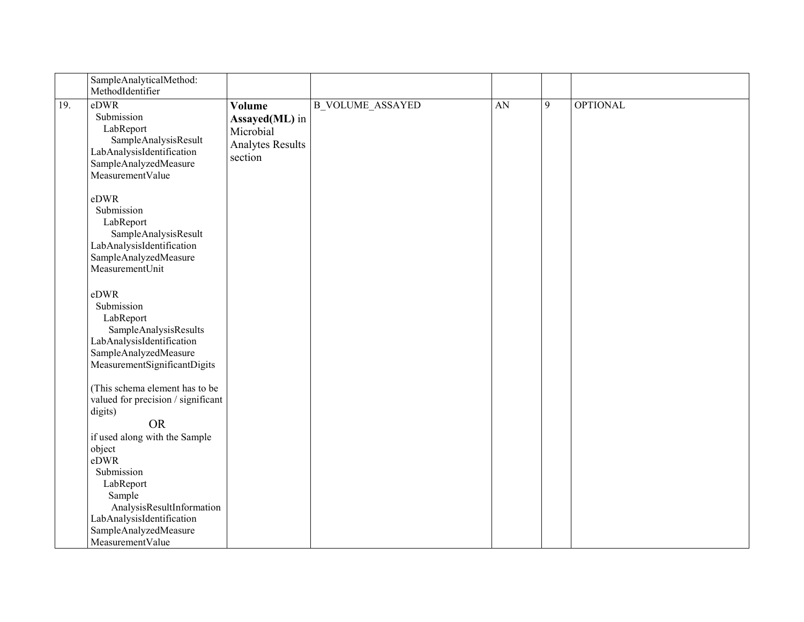|     | SampleAnalyticalMethod:<br>MethodIdentifier                                                                                                                                |                                                                                    |                         |    |   |                 |
|-----|----------------------------------------------------------------------------------------------------------------------------------------------------------------------------|------------------------------------------------------------------------------------|-------------------------|----|---|-----------------|
| 19. | eDWR<br>Submission<br>LabReport<br>SampleAnalysisResult<br>LabAnalysisIdentification<br>SampleAnalyzedMeasure<br>MeasurementValue                                          | <b>Volume</b><br>Assayed(ML) in<br>Microbial<br><b>Analytes Results</b><br>section | <b>B_VOLUME_ASSAYED</b> | AN | 9 | <b>OPTIONAL</b> |
|     | eDWR<br>Submission<br>LabReport<br>SampleAnalysisResult<br>LabAnalysisIdentification<br>SampleAnalyzedMeasure<br>MeasurementUnit                                           |                                                                                    |                         |    |   |                 |
|     | eDWR<br>Submission<br>LabReport<br>SampleAnalysisResults<br>LabAnalysisIdentification<br>SampleAnalyzedMeasure<br>MeasurementSignificantDigits                             |                                                                                    |                         |    |   |                 |
|     | (This schema element has to be<br>valued for precision / significant<br>digits)<br><b>OR</b><br>if used along with the Sample<br>object<br>eDWR<br>Submission<br>LabReport |                                                                                    |                         |    |   |                 |
|     | Sample<br>AnalysisResultInformation<br>LabAnalysisIdentification<br>SampleAnalyzedMeasure<br>MeasurementValue                                                              |                                                                                    |                         |    |   |                 |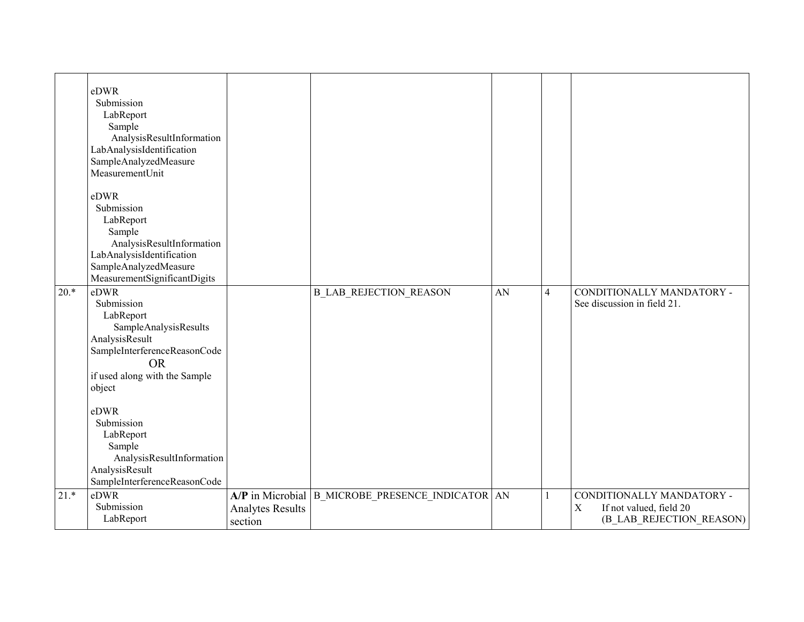|        | eDWR<br>Submission<br>LabReport<br>Sample<br>AnalysisResultInformation<br>LabAnalysisIdentification<br>SampleAnalyzedMeasure<br>MeasurementUnit<br>eDWR<br>Submission<br>LabReport<br>Sample<br>AnalysisResultInformation                                                                      |                                    |                                                    |    |                |                                                                                                 |
|--------|------------------------------------------------------------------------------------------------------------------------------------------------------------------------------------------------------------------------------------------------------------------------------------------------|------------------------------------|----------------------------------------------------|----|----------------|-------------------------------------------------------------------------------------------------|
|        | LabAnalysisIdentification<br>SampleAnalyzedMeasure<br>MeasurementSignificantDigits                                                                                                                                                                                                             |                                    |                                                    |    |                |                                                                                                 |
| $20.*$ | eDWR<br>Submission<br>LabReport<br>SampleAnalysisResults<br>AnalysisResult<br>SampleInterferenceReasonCode<br><b>OR</b><br>if used along with the Sample<br>object<br>eDWR<br>Submission<br>LabReport<br>Sample<br>AnalysisResultInformation<br>AnalysisResult<br>SampleInterferenceReasonCode |                                    | <b>B_LAB_REJECTION_REASON</b>                      | AN | $\overline{4}$ | CONDITIONALLY MANDATORY -<br>See discussion in field 21.                                        |
| $21.*$ | eDWR<br>Submission<br>LabReport                                                                                                                                                                                                                                                                | <b>Analytes Results</b><br>section | A/P in Microbial   B_MICROBE_PRESENCE_INDICATOR AN |    |                | CONDITIONALLY MANDATORY -<br>If not valued, field 20<br>$\mathbf X$<br>(B LAB REJECTION REASON) |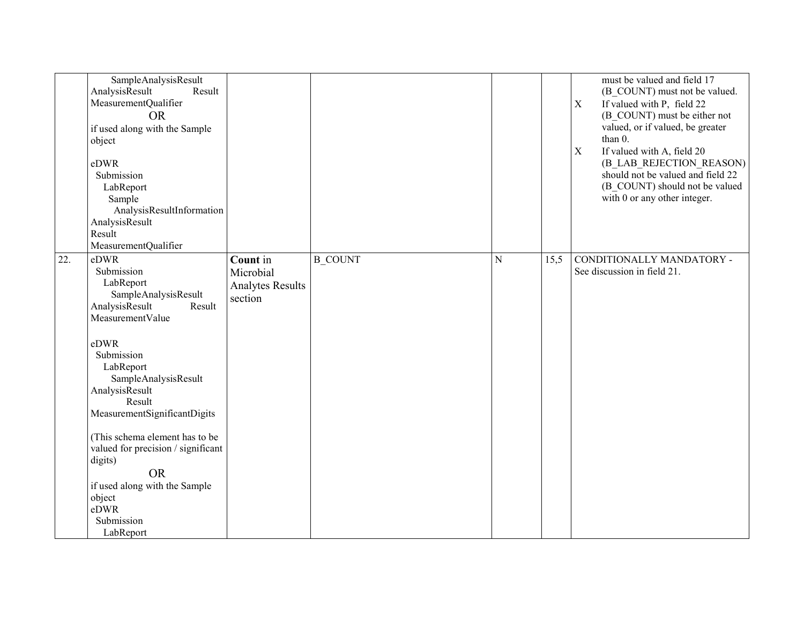| SampleAnalysisResult<br>AnalysisResult<br>MeasurementQualifier<br><b>OR</b><br>if used along with the Sample<br>object<br>eDWR<br>Submission<br>LabReport<br>Sample<br>AnalysisResultInformation<br>AnalysisResult<br>Result<br>MeasurementQualifier | Result                                                                |                |             |      | must be valued and field 17<br>(B COUNT) must not be valued.<br>If valued with P, field 22<br>$\mathbf X$<br>(B COUNT) must be either not<br>valued, or if valued, be greater<br>than 0.<br>$\mathbf X$<br>If valued with A, field 20<br>(B_LAB_REJECTION_REASON)<br>should not be valued and field 22<br>(B COUNT) should not be valued<br>with 0 or any other integer. |
|------------------------------------------------------------------------------------------------------------------------------------------------------------------------------------------------------------------------------------------------------|-----------------------------------------------------------------------|----------------|-------------|------|--------------------------------------------------------------------------------------------------------------------------------------------------------------------------------------------------------------------------------------------------------------------------------------------------------------------------------------------------------------------------|
| eDWR<br>22.<br>Submission<br>LabReport<br>SampleAnalysisResult<br>AnalysisResult<br>MeasurementValue                                                                                                                                                 | Count in<br>Microbial<br><b>Analytes Results</b><br>section<br>Result | <b>B COUNT</b> | $\mathbf N$ | 15,5 | CONDITIONALLY MANDATORY -<br>See discussion in field 21.                                                                                                                                                                                                                                                                                                                 |
| eDWR<br>Submission<br>LabReport<br>SampleAnalysisResult<br>AnalysisResult<br>Result<br>MeasurementSignificantDigits                                                                                                                                  |                                                                       |                |             |      |                                                                                                                                                                                                                                                                                                                                                                          |
| (This schema element has to be<br>valued for precision / significant<br>digits)<br><b>OR</b><br>if used along with the Sample<br>object                                                                                                              |                                                                       |                |             |      |                                                                                                                                                                                                                                                                                                                                                                          |
| eDWR<br>Submission<br>LabReport                                                                                                                                                                                                                      |                                                                       |                |             |      |                                                                                                                                                                                                                                                                                                                                                                          |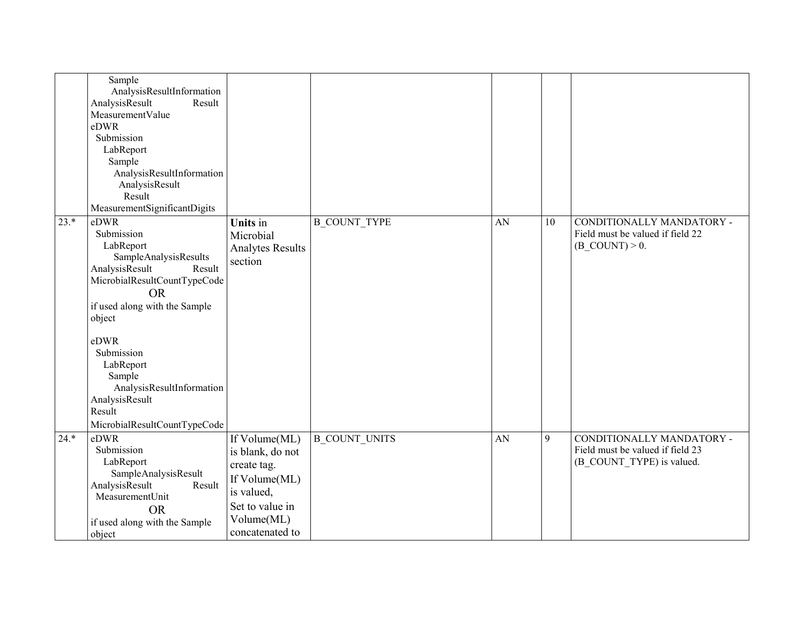|        | Sample<br>AnalysisResultInformation<br>AnalysisResult<br>Result<br>MeasurementValue<br>eDWR<br>Submission<br>LabReport<br>Sample<br>AnalysisResultInformation<br>AnalysisResult<br>Result<br>MeasurementSignificantDigits                                                                                          |                                                                                                                                     |                      |    |    |                                                                                            |
|--------|--------------------------------------------------------------------------------------------------------------------------------------------------------------------------------------------------------------------------------------------------------------------------------------------------------------------|-------------------------------------------------------------------------------------------------------------------------------------|----------------------|----|----|--------------------------------------------------------------------------------------------|
| $23.*$ | eDWR<br>Submission<br>LabReport<br>SampleAnalysisResults<br>AnalysisResult<br>Result<br>MicrobialResultCountTypeCode<br><b>OR</b><br>if used along with the Sample<br>object<br>eDWR<br>Submission<br>LabReport<br>Sample<br>AnalysisResultInformation<br>AnalysisResult<br>Result<br>MicrobialResultCountTypeCode | Units in<br>Microbial<br><b>Analytes Results</b><br>section                                                                         | <b>B COUNT TYPE</b>  | AN | 10 | CONDITIONALLY MANDATORY -<br>Field must be valued if field 22<br>$(B$ COUNT $) > 0$ .      |
| $24.*$ | eDWR<br>Submission<br>LabReport<br>SampleAnalysisResult<br>AnalysisResult<br>Result<br>MeasurementUnit<br><b>OR</b><br>if used along with the Sample<br>object                                                                                                                                                     | If Volume(ML)<br>is blank, do not<br>create tag.<br>If Volume(ML)<br>is valued,<br>Set to value in<br>Volume(ML)<br>concatenated to | <b>B COUNT UNITS</b> | AN | 9  | CONDITIONALLY MANDATORY -<br>Field must be valued if field 23<br>(B_COUNT_TYPE) is valued. |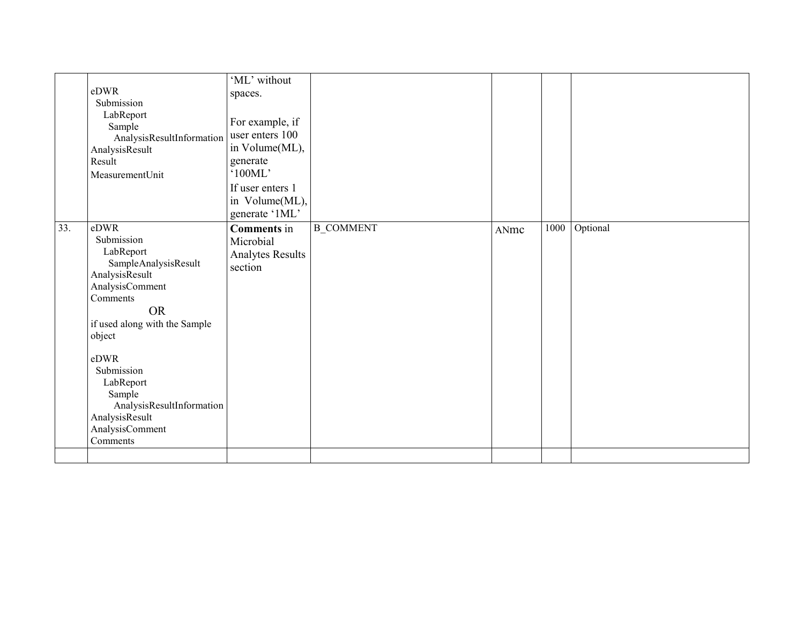|     | eDWR<br>Submission<br>LabReport<br>Sample<br>AnalysisResultInformation<br>AnalysisResult<br>Result<br>MeasurementUnit                                                                                                                                                                       | 'ML' without<br>spaces.<br>For example, if<br>user enters 100<br>in Volume(ML),<br>generate<br>'100ML'<br>If user enters 1<br>in Volume(ML),<br>generate '1ML' |                  |      |      |          |
|-----|---------------------------------------------------------------------------------------------------------------------------------------------------------------------------------------------------------------------------------------------------------------------------------------------|----------------------------------------------------------------------------------------------------------------------------------------------------------------|------------------|------|------|----------|
| 33. | eDWR<br>Submission<br>LabReport<br>SampleAnalysisResult<br>AnalysisResult<br>AnalysisComment<br>Comments<br><b>OR</b><br>if used along with the Sample<br>object<br>eDWR<br>Submission<br>LabReport<br>Sample<br>AnalysisResultInformation<br>AnalysisResult<br>AnalysisComment<br>Comments | <b>Comments</b> in<br>Microbial<br><b>Analytes Results</b><br>section                                                                                          | <b>B_COMMENT</b> | ANmc | 1000 | Optional |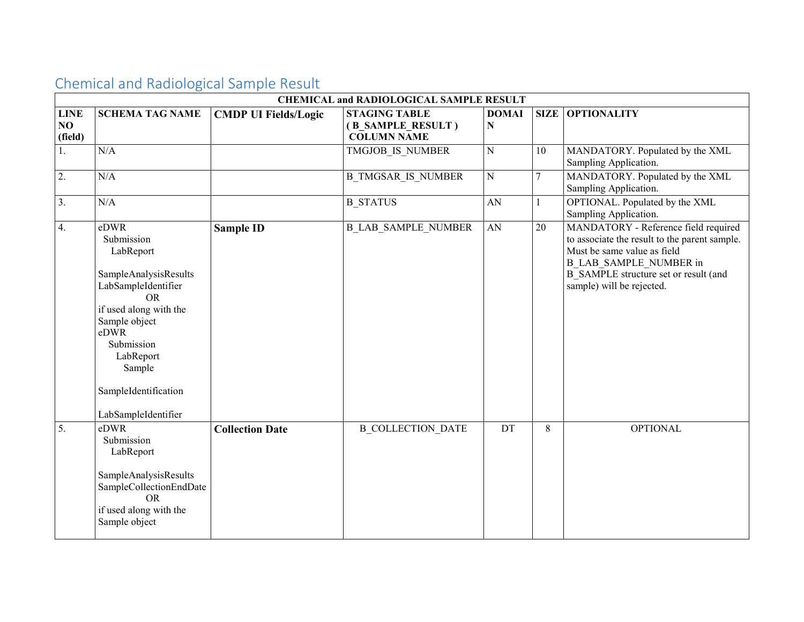|                              | <b>CHEMICAL and RADIOLOGICAL SAMPLE RESULT</b>                                                                                                                                                                                      |                             |                                                                 |                   |    |                                                                                                                                                                                                                             |  |  |
|------------------------------|-------------------------------------------------------------------------------------------------------------------------------------------------------------------------------------------------------------------------------------|-----------------------------|-----------------------------------------------------------------|-------------------|----|-----------------------------------------------------------------------------------------------------------------------------------------------------------------------------------------------------------------------------|--|--|
| <b>LINE</b><br>NO<br>(field) | <b>SCHEMA TAG NAME</b>                                                                                                                                                                                                              | <b>CMDP UI Fields/Logic</b> | <b>STAGING TABLE</b><br>(B_SAMPLE_RESULT)<br><b>COLUMN NAME</b> | <b>DOMAI</b><br>N |    | <b>SIZE OPTIONALITY</b>                                                                                                                                                                                                     |  |  |
| 1.                           | N/A                                                                                                                                                                                                                                 |                             | TMGJOB IS NUMBER                                                | $\mathbf N$       | 10 | MANDATORY. Populated by the XML<br>Sampling Application.                                                                                                                                                                    |  |  |
| 2.                           | N/A                                                                                                                                                                                                                                 |                             | <b>B TMGSAR IS NUMBER</b>                                       | ${\bf N}$         | 7  | MANDATORY. Populated by the XML<br>Sampling Application.                                                                                                                                                                    |  |  |
| $\overline{3}$ .             | N/A                                                                                                                                                                                                                                 |                             | <b>B STATUS</b>                                                 | ${\bf A}{\bf N}$  |    | OPTIONAL. Populated by the XML<br>Sampling Application.                                                                                                                                                                     |  |  |
| 4.                           | eDWR<br>Submission<br>LabReport<br>SampleAnalysisResults<br>LabSampleIdentifier<br><b>OR</b><br>if used along with the<br>Sample object<br>eDWR<br>Submission<br>LabReport<br>Sample<br>SampleIdentification<br>LabSampleIdentifier | <b>Sample ID</b>            | <b>B LAB SAMPLE NUMBER</b>                                      | ${\rm AN}$        | 20 | MANDATORY - Reference field required<br>to associate the result to the parent sample.<br>Must be same value as field<br><b>B LAB SAMPLE NUMBER in</b><br>B SAMPLE structure set or result (and<br>sample) will be rejected. |  |  |
| 5.                           | eDWR<br>Submission<br>LabReport<br>SampleAnalysisResults<br>SampleCollectionEndDate<br><b>OR</b><br>if used along with the<br>Sample object                                                                                         | <b>Collection Date</b>      | <b>B COLLECTION DATE</b>                                        | DT                | 8  | <b>OPTIONAL</b>                                                                                                                                                                                                             |  |  |

## Chemical and Radiological Sample Result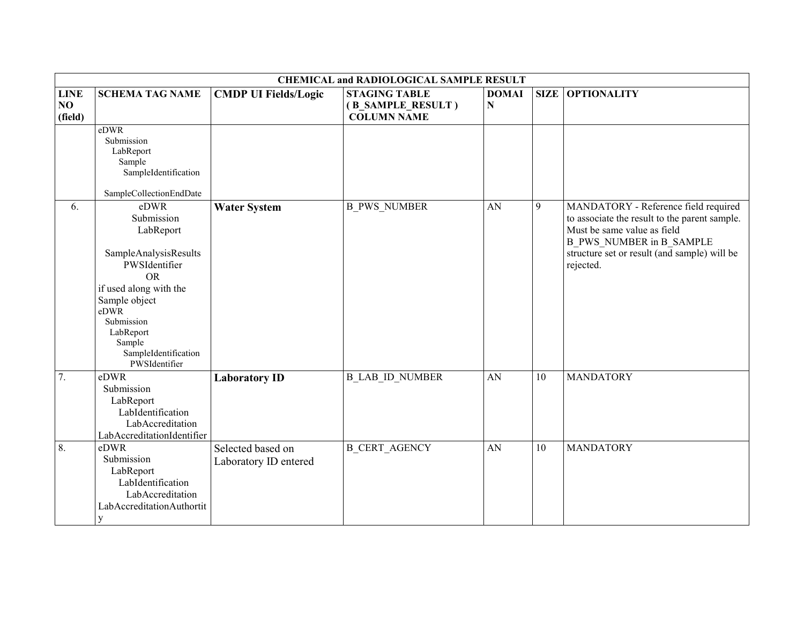|                              |                                                                                                                                                                                                                         |                                            | <b>CHEMICAL and RADIOLOGICAL SAMPLE RESULT</b>                  |                   |             |                                                                                                                                                                                                                      |
|------------------------------|-------------------------------------------------------------------------------------------------------------------------------------------------------------------------------------------------------------------------|--------------------------------------------|-----------------------------------------------------------------|-------------------|-------------|----------------------------------------------------------------------------------------------------------------------------------------------------------------------------------------------------------------------|
| <b>LINE</b><br>NO<br>(field) | <b>SCHEMA TAG NAME</b>                                                                                                                                                                                                  | <b>CMDP UI Fields/Logic</b>                | <b>STAGING TABLE</b><br>(B_SAMPLE_RESULT)<br><b>COLUMN NAME</b> | <b>DOMAI</b><br>N | <b>SIZE</b> | <b>OPTIONALITY</b>                                                                                                                                                                                                   |
|                              | eDWR<br>Submission<br>LabReport<br>Sample<br>SampleIdentification<br>SampleCollectionEndDate                                                                                                                            |                                            |                                                                 |                   |             |                                                                                                                                                                                                                      |
| 6.                           | eDWR<br>Submission<br>LabReport<br>SampleAnalysisResults<br>PWSIdentifier<br><b>OR</b><br>if used along with the<br>Sample object<br>eDWR<br>Submission<br>LabReport<br>Sample<br>SampleIdentification<br>PWSIdentifier | <b>Water System</b>                        | <b>B PWS NUMBER</b>                                             | AN                | 9           | MANDATORY - Reference field required<br>to associate the result to the parent sample.<br>Must be same value as field<br><b>B_PWS_NUMBER</b> in B_SAMPLE<br>structure set or result (and sample) will be<br>rejected. |
| 7.                           | eDWR<br>Submission<br>LabReport<br>LabIdentification<br>LabAccreditation<br>LabAccreditationIdentifier                                                                                                                  | <b>Laboratory ID</b>                       | <b>B LAB ID NUMBER</b>                                          | AN                | 10          | <b>MANDATORY</b>                                                                                                                                                                                                     |
| 8.                           | eDWR<br>Submission<br>LabReport<br>LabIdentification<br>LabAccreditation<br>LabAccreditationAuthortit<br>$\mathbf y$                                                                                                    | Selected based on<br>Laboratory ID entered | <b>B_CERT_AGENCY</b>                                            | AN                | 10          | <b>MANDATORY</b>                                                                                                                                                                                                     |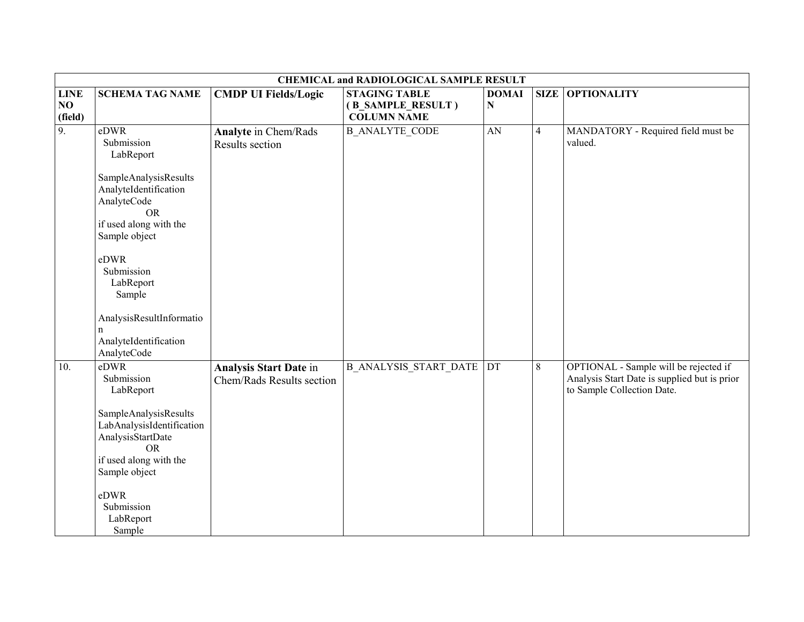|                              |                                                                                                                                                                                                                 |                                                            | <b>CHEMICAL and RADIOLOGICAL SAMPLE RESULT</b>                  |                   |                |                                                                                                                     |
|------------------------------|-----------------------------------------------------------------------------------------------------------------------------------------------------------------------------------------------------------------|------------------------------------------------------------|-----------------------------------------------------------------|-------------------|----------------|---------------------------------------------------------------------------------------------------------------------|
| <b>LINE</b><br>NO<br>(field) | <b>SCHEMA TAG NAME</b>                                                                                                                                                                                          | <b>CMDP UI Fields/Logic</b>                                | <b>STAGING TABLE</b><br>(B SAMPLE RESULT)<br><b>COLUMN NAME</b> | <b>DOMAI</b><br>N | <b>SIZE</b>    | <b>OPTIONALITY</b>                                                                                                  |
| $\overline{9}$ .             | eDWR<br>Submission<br>LabReport<br>SampleAnalysisResults<br>AnalyteIdentification<br>AnalyteCode<br><b>OR</b><br>if used along with the<br>Sample object<br>eDWR<br>Submission<br>LabReport<br>Sample           | <b>Analyte in Chem/Rads</b><br>Results section             | <b>B ANALYTE CODE</b>                                           | AN                | $\overline{4}$ | MANDATORY - Required field must be<br>valued.                                                                       |
|                              | AnalysisResultInformatio<br>n<br>AnalyteIdentification<br>AnalyteCode                                                                                                                                           |                                                            |                                                                 |                   |                |                                                                                                                     |
| 10.                          | eDWR<br>Submission<br>LabReport<br>SampleAnalysisResults<br>LabAnalysisIdentification<br>AnalysisStartDate<br><b>OR</b><br>if used along with the<br>Sample object<br>eDWR<br>Submission<br>LabReport<br>Sample | <b>Analysis Start Date in</b><br>Chem/Rads Results section | <b>B ANALYSIS START DATE</b>                                    | <b>DT</b>         | 8              | OPTIONAL - Sample will be rejected if<br>Analysis Start Date is supplied but is prior<br>to Sample Collection Date. |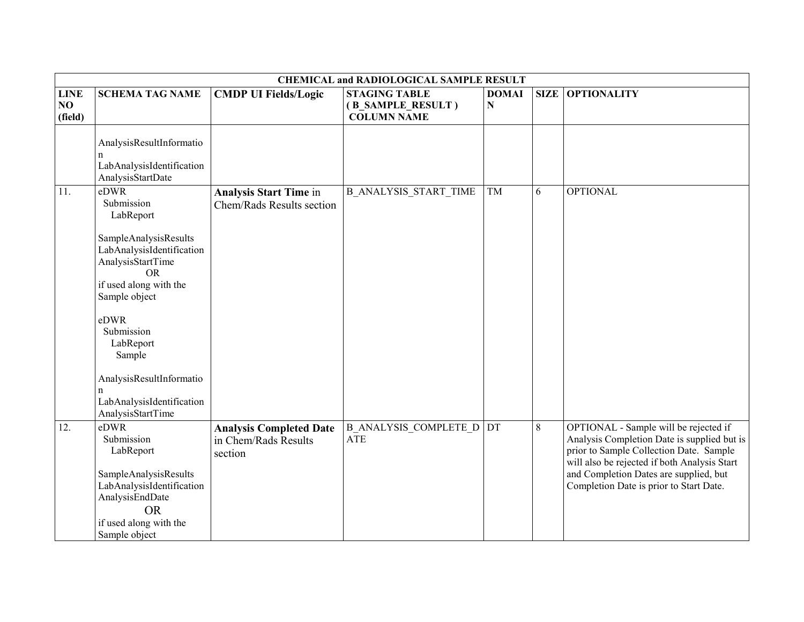|                              |                                                                                                                                                                                                                                                                                               |                                                                   | <b>CHEMICAL and RADIOLOGICAL SAMPLE RESULT</b>                  |                   |             |                                                                                                                                                                                                                                                                      |
|------------------------------|-----------------------------------------------------------------------------------------------------------------------------------------------------------------------------------------------------------------------------------------------------------------------------------------------|-------------------------------------------------------------------|-----------------------------------------------------------------|-------------------|-------------|----------------------------------------------------------------------------------------------------------------------------------------------------------------------------------------------------------------------------------------------------------------------|
| <b>LINE</b><br>NO<br>(field) | <b>SCHEMA TAG NAME</b>                                                                                                                                                                                                                                                                        | <b>CMDP UI Fields/Logic</b>                                       | <b>STAGING TABLE</b><br>(B_SAMPLE_RESULT)<br><b>COLUMN NAME</b> | <b>DOMAI</b><br>N | <b>SIZE</b> | <b>OPTIONALITY</b>                                                                                                                                                                                                                                                   |
|                              | AnalysisResultInformatio<br>LabAnalysisIdentification<br>AnalysisStartDate                                                                                                                                                                                                                    |                                                                   |                                                                 |                   |             |                                                                                                                                                                                                                                                                      |
| 11.                          | eDWR<br>Submission<br>LabReport<br>SampleAnalysisResults<br>LabAnalysisIdentification<br>AnalysisStartTime<br><b>OR</b><br>if used along with the<br>Sample object<br>eDWR<br>Submission<br>LabReport<br>Sample<br>AnalysisResultInformatio<br>LabAnalysisIdentification<br>AnalysisStartTime | <b>Analysis Start Time in</b><br>Chem/Rads Results section        | <b>B_ANALYSIS_START_TIME</b>                                    | TM                | 6           | <b>OPTIONAL</b>                                                                                                                                                                                                                                                      |
| 12.                          | eDWR<br>Submission<br>LabReport<br>SampleAnalysisResults<br>LabAnalysisIdentification<br>AnalysisEndDate<br><b>OR</b><br>if used along with the<br>Sample object                                                                                                                              | <b>Analysis Completed Date</b><br>in Chem/Rads Results<br>section | <b>B ANALYSIS COMPLETE D DT</b><br><b>ATE</b>                   |                   | $8\,$       | OPTIONAL - Sample will be rejected if<br>Analysis Completion Date is supplied but is<br>prior to Sample Collection Date. Sample<br>will also be rejected if both Analysis Start<br>and Completion Dates are supplied, but<br>Completion Date is prior to Start Date. |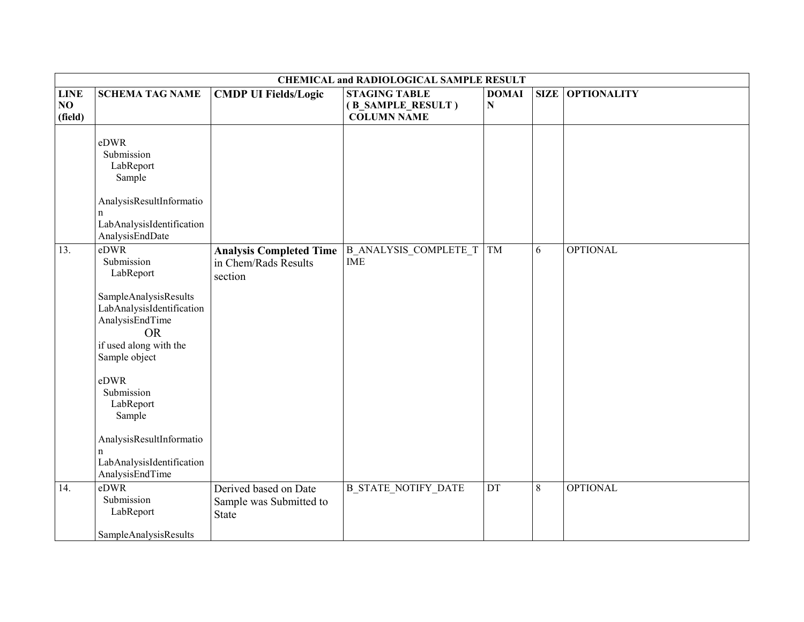|                              | <b>CHEMICAL and RADIOLOGICAL SAMPLE RESULT</b>                                                                                       |                                                                   |                                                                 |                   |       |                         |  |  |
|------------------------------|--------------------------------------------------------------------------------------------------------------------------------------|-------------------------------------------------------------------|-----------------------------------------------------------------|-------------------|-------|-------------------------|--|--|
| <b>LINE</b><br>NO<br>(field) | <b>SCHEMA TAG NAME</b>                                                                                                               | <b>CMDP UI Fields/Logic</b>                                       | <b>STAGING TABLE</b><br>(B_SAMPLE_RESULT)<br><b>COLUMN NAME</b> | <b>DOMAI</b><br>N |       | <b>SIZE OPTIONALITY</b> |  |  |
|                              | eDWR<br>Submission<br>LabReport<br>Sample<br>AnalysisResultInformatio<br>$\mathbf n$<br>LabAnalysisIdentification<br>AnalysisEndDate |                                                                   |                                                                 |                   |       |                         |  |  |
| 13.                          | eDWR<br>Submission<br>LabReport                                                                                                      | <b>Analysis Completed Time</b><br>in Chem/Rads Results<br>section | <b>B_ANALYSIS_COMPLETE_T</b><br><b>IME</b>                      | TM                | 6     | <b>OPTIONAL</b>         |  |  |
|                              | SampleAnalysisResults<br>LabAnalysisIdentification<br>AnalysisEndTime<br><b>OR</b><br>if used along with the                         |                                                                   |                                                                 |                   |       |                         |  |  |
|                              | Sample object<br>eDWR<br>Submission<br>LabReport<br>Sample                                                                           |                                                                   |                                                                 |                   |       |                         |  |  |
|                              | AnalysisResultInformatio<br>n<br>LabAnalysisIdentification<br>AnalysisEndTime                                                        |                                                                   |                                                                 |                   |       |                         |  |  |
| 14.                          | $eD\overline{WR}$<br>Submission<br>LabReport<br>SampleAnalysisResults                                                                | Derived based on Date<br>Sample was Submitted to<br><b>State</b>  | <b>B_STATE_NOTIFY_DATE</b>                                      | DT                | $8\,$ | <b>OPTIONAL</b>         |  |  |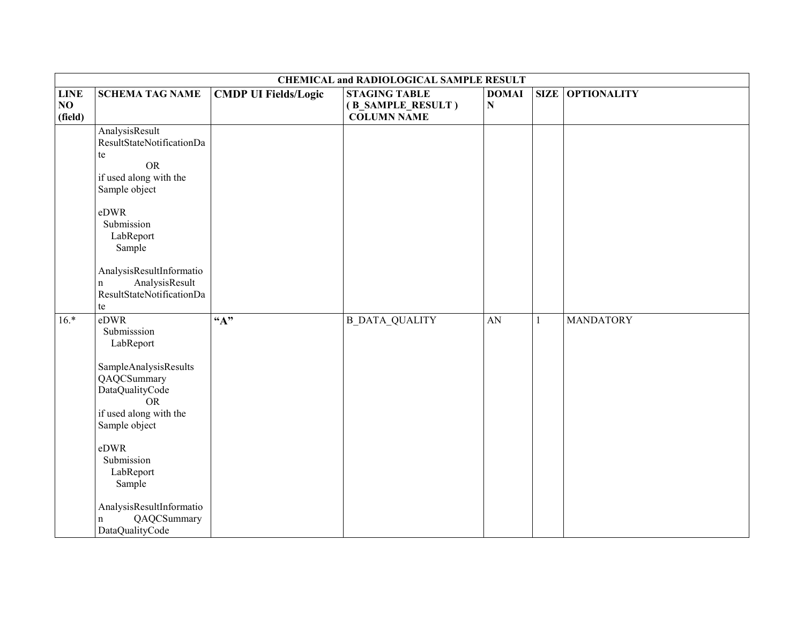|                              |                                                                                                                        |                             | <b>CHEMICAL and RADIOLOGICAL SAMPLE RESULT</b>                  |                           |   |                  |
|------------------------------|------------------------------------------------------------------------------------------------------------------------|-----------------------------|-----------------------------------------------------------------|---------------------------|---|------------------|
| <b>LINE</b><br>NO<br>(field) | <b>SCHEMA TAG NAME</b>                                                                                                 | <b>CMDP UI Fields/Logic</b> | <b>STAGING TABLE</b><br>(B_SAMPLE_RESULT)<br><b>COLUMN NAME</b> | <b>DOMAI</b><br>${\bf N}$ |   | SIZE OPTIONALITY |
|                              | AnalysisResult<br>ResultStateNotificationDa<br>te<br><b>OR</b><br>if used along with the<br>Sample object              |                             |                                                                 |                           |   |                  |
|                              | eDWR<br>Submission<br>LabReport<br>Sample                                                                              |                             |                                                                 |                           |   |                  |
|                              | AnalysisResultInformatio<br>AnalysisResult<br>n<br>ResultStateNotificationDa<br>te                                     |                             |                                                                 |                           |   |                  |
| $16.*$                       | eDWR<br>Submisssion<br>LabReport                                                                                       | $\overline{A}$ "            | <b>B_DATA_QUALITY</b>                                           | AN                        | 1 | <b>MANDATORY</b> |
|                              | SampleAnalysisResults<br>QAQCSummary<br><b>DataQualityCode</b><br><b>OR</b><br>if used along with the<br>Sample object |                             |                                                                 |                           |   |                  |
|                              | eDWR<br>Submission<br>LabReport<br>Sample                                                                              |                             |                                                                 |                           |   |                  |
|                              | AnalysisResultInformatio<br>QAQCSummary<br>n<br>DataQualityCode                                                        |                             |                                                                 |                           |   |                  |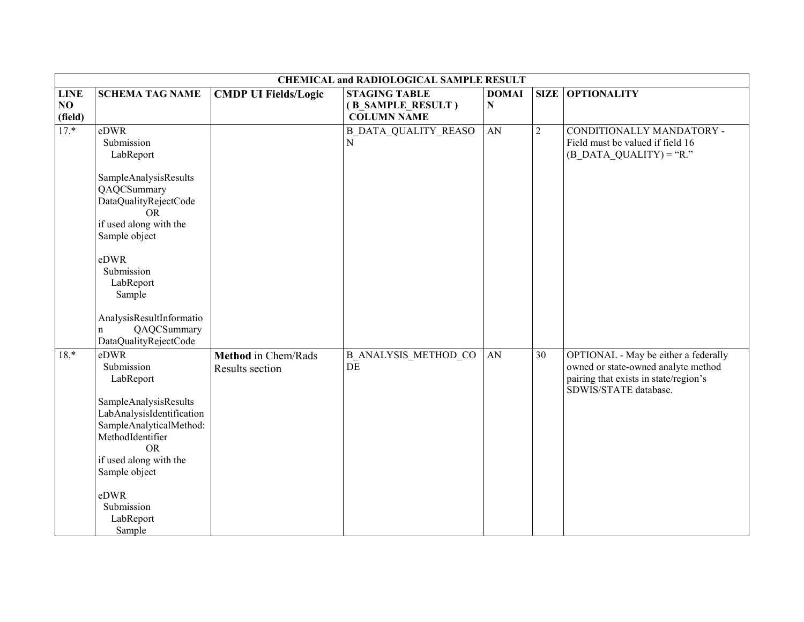|                              |                                                                                                                                                                                                                                                                    | <b>CHEMICAL and RADIOLOGICAL SAMPLE RESULT</b> |                                                                 |                           |                |                                                                                                                                               |  |  |
|------------------------------|--------------------------------------------------------------------------------------------------------------------------------------------------------------------------------------------------------------------------------------------------------------------|------------------------------------------------|-----------------------------------------------------------------|---------------------------|----------------|-----------------------------------------------------------------------------------------------------------------------------------------------|--|--|
| <b>LINE</b><br>NO<br>(field) | <b>SCHEMA TAG NAME</b>                                                                                                                                                                                                                                             | <b>CMDP UI Fields/Logic</b>                    | <b>STAGING TABLE</b><br>(B_SAMPLE_RESULT)<br><b>COLUMN NAME</b> | <b>DOMAI</b><br>${\bf N}$ |                | <b>SIZE OPTIONALITY</b>                                                                                                                       |  |  |
| $17.*$                       | eDWR<br>Submission<br>LabReport<br>SampleAnalysisResults<br>QAQCSummary<br>DataQualityRejectCode<br>OR.<br>if used along with the<br>Sample object<br>eDWR<br>Submission<br>LabReport<br>Sample<br>AnalysisResultInformatio<br>QAQCSummary<br>n                    |                                                | <b>B DATA QUALITY REASO</b><br>$\mathbf N$                      | AN                        | $\overline{2}$ | CONDITIONALLY MANDATORY -<br>Field must be valued if field 16<br>$(B$ DATA QUALITY) = "R."                                                    |  |  |
| $18.*$                       | DataQualityRejectCode<br>eDWR<br>Submission<br>LabReport<br>SampleAnalysisResults<br>LabAnalysisIdentification<br>SampleAnalyticalMethod:<br>MethodIdentifier<br><b>OR</b><br>if used along with the<br>Sample object<br>eDWR<br>Submission<br>LabReport<br>Sample | <b>Method</b> in Chem/Rads<br>Results section  | <b>B ANALYSIS METHOD CO</b><br>DE                               | AN                        | 30             | OPTIONAL - May be either a federally<br>owned or state-owned analyte method<br>pairing that exists in state/region's<br>SDWIS/STATE database. |  |  |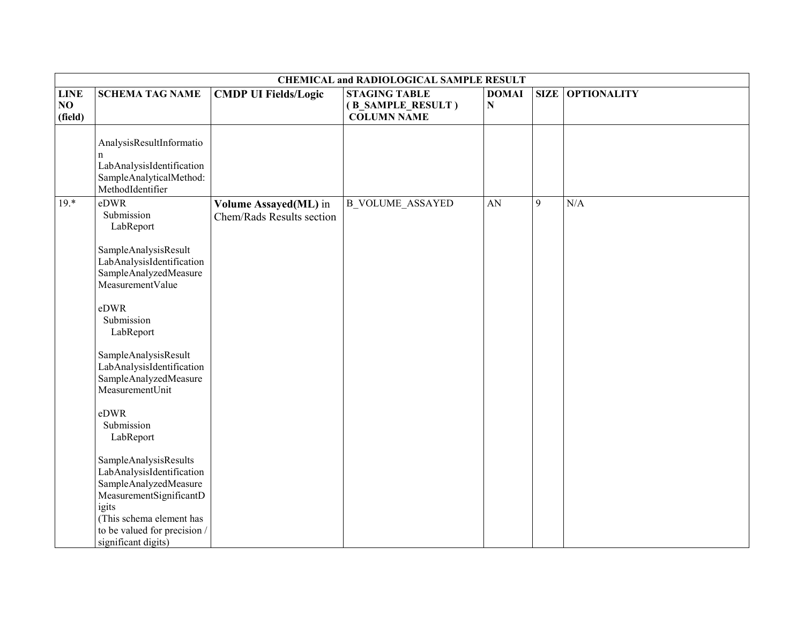|                              | <b>CHEMICAL and RADIOLOGICAL SAMPLE RESULT</b>                                                                                                                                                                                                                                                                                                                                                                                                                                                                 |                                                    |                                                                 |                        |   |                         |  |  |
|------------------------------|----------------------------------------------------------------------------------------------------------------------------------------------------------------------------------------------------------------------------------------------------------------------------------------------------------------------------------------------------------------------------------------------------------------------------------------------------------------------------------------------------------------|----------------------------------------------------|-----------------------------------------------------------------|------------------------|---|-------------------------|--|--|
| <b>LINE</b><br>NO<br>(field) | <b>SCHEMA TAG NAME</b>                                                                                                                                                                                                                                                                                                                                                                                                                                                                                         | <b>CMDP UI Fields/Logic</b>                        | <b>STAGING TABLE</b><br>(B_SAMPLE_RESULT)<br><b>COLUMN NAME</b> | <b>DOMAI</b><br>N      |   | <b>SIZE OPTIONALITY</b> |  |  |
|                              | AnalysisResultInformatio<br>n<br>LabAnalysisIdentification<br>SampleAnalyticalMethod:<br>MethodIdentifier                                                                                                                                                                                                                                                                                                                                                                                                      |                                                    |                                                                 |                        |   |                         |  |  |
| $19.*$                       | eDWR<br>Submission<br>LabReport<br>SampleAnalysisResult<br>LabAnalysisIdentification<br>SampleAnalyzedMeasure<br>MeasurementValue<br>eDWR<br>Submission<br>LabReport<br>SampleAnalysisResult<br>LabAnalysisIdentification<br>SampleAnalyzedMeasure<br>MeasurementUnit<br>eDWR<br>Submission<br>LabReport<br>SampleAnalysisResults<br>LabAnalysisIdentification<br>SampleAnalyzedMeasure<br>MeasurementSignificantD<br>igits<br>(This schema element has<br>to be valued for precision /<br>significant digits) | Volume Assayed(ML) in<br>Chem/Rads Results section | <b>B</b> VOLUME_ASSAYED                                         | $\mathbf{A}\mathbf{N}$ | 9 | N/A                     |  |  |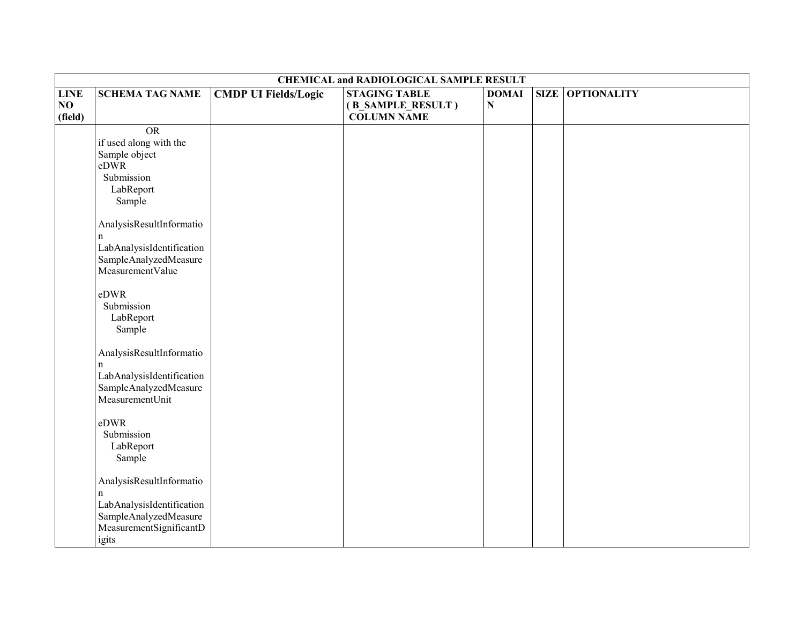|                              | <b>CHEMICAL and RADIOLOGICAL SAMPLE RESULT</b>                                                                                                                                                                                                                                                                                                                                                                                                                                 |                             |                                                                 |                           |  |                         |  |  |
|------------------------------|--------------------------------------------------------------------------------------------------------------------------------------------------------------------------------------------------------------------------------------------------------------------------------------------------------------------------------------------------------------------------------------------------------------------------------------------------------------------------------|-----------------------------|-----------------------------------------------------------------|---------------------------|--|-------------------------|--|--|
| <b>LINE</b><br>NO<br>(field) | <b>SCHEMA TAG NAME</b>                                                                                                                                                                                                                                                                                                                                                                                                                                                         | <b>CMDP UI Fields/Logic</b> | <b>STAGING TABLE</b><br>(B_SAMPLE_RESULT)<br><b>COLUMN NAME</b> | <b>DOMAI</b><br>${\bf N}$ |  | <b>SIZE OPTIONALITY</b> |  |  |
|                              | <b>OR</b><br>if used along with the<br>Sample object<br>eDWR<br>Submission<br>LabReport<br>Sample<br>AnalysisResultInformatio<br>n<br>LabAnalysisIdentification<br>SampleAnalyzedMeasure<br>MeasurementValue<br>eDWR<br>Submission<br>LabReport<br>Sample<br>AnalysisResultInformatio<br>n<br>LabAnalysisIdentification<br>SampleAnalyzedMeasure<br>MeasurementUnit<br>eDWR<br>Submission<br>LabReport<br>Sample<br>AnalysisResultInformatio<br>n<br>LabAnalysisIdentification |                             |                                                                 |                           |  |                         |  |  |
|                              | SampleAnalyzedMeasure<br>MeasurementSignificantD<br>igits                                                                                                                                                                                                                                                                                                                                                                                                                      |                             |                                                                 |                           |  |                         |  |  |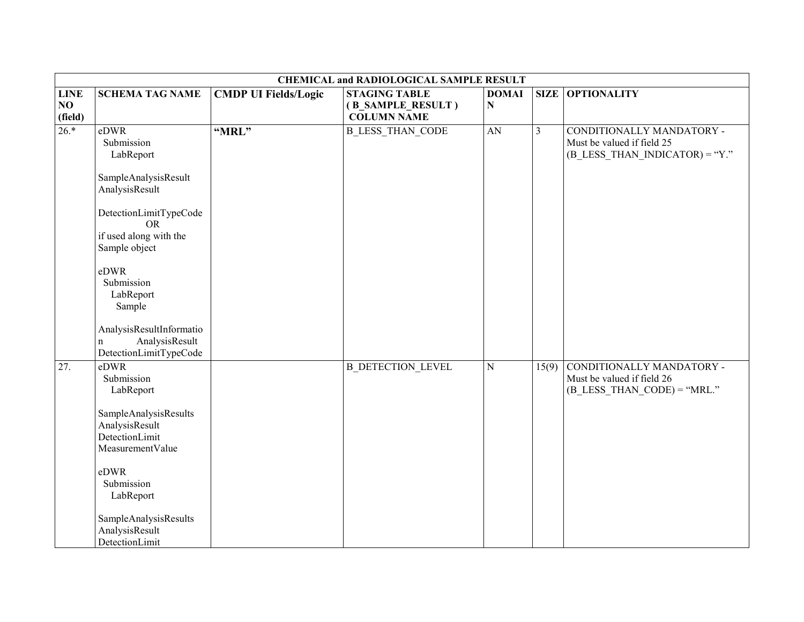|                              | <b>CHEMICAL and RADIOLOGICAL SAMPLE RESULT</b>                                                                                                                                                                                                                                  |                             |                                                                 |                           |                         |                                                                                             |  |
|------------------------------|---------------------------------------------------------------------------------------------------------------------------------------------------------------------------------------------------------------------------------------------------------------------------------|-----------------------------|-----------------------------------------------------------------|---------------------------|-------------------------|---------------------------------------------------------------------------------------------|--|
| <b>LINE</b><br>NO<br>(field) | <b>SCHEMA TAG NAME</b>                                                                                                                                                                                                                                                          | <b>CMDP UI Fields/Logic</b> | <b>STAGING TABLE</b><br>(B_SAMPLE_RESULT)<br><b>COLUMN NAME</b> | <b>DOMAI</b><br>${\bf N}$ | <b>SIZE</b>             | <b>OPTIONALITY</b>                                                                          |  |
| $26.*$                       | eDWR<br>Submission<br>LabReport<br>SampleAnalysisResult<br>AnalysisResult<br>DetectionLimitTypeCode<br>OR.<br>if used along with the<br>Sample object<br>eDWR<br>Submission<br>LabReport<br>Sample<br>AnalysisResultInformatio<br>AnalysisResult<br>n<br>DetectionLimitTypeCode | "MRL"                       | <b>B LESS THAN CODE</b>                                         | AN                        | $\overline{\mathbf{3}}$ | CONDITIONALLY MANDATORY -<br>Must be valued if field 25<br>$(B$ LESS THAN INDICATOR) = "Y." |  |
| 27.                          | eDWR<br>Submission<br>LabReport<br>SampleAnalysisResults<br>AnalysisResult<br>DetectionLimit<br>MeasurementValue<br>eDWR<br>Submission<br>LabReport<br>SampleAnalysisResults<br>AnalysisResult<br>DetectionLimit                                                                |                             | <b>B DETECTION LEVEL</b>                                        | ${\bf N}$                 | 15(9)                   | CONDITIONALLY MANDATORY -<br>Must be valued if field 26<br>$(B$ LESS THAN CODE) = "MRL."    |  |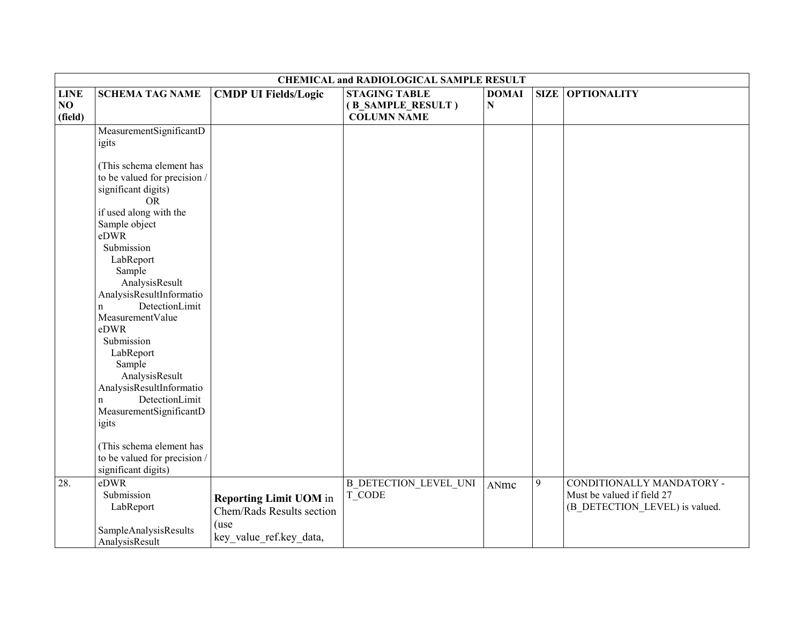|                              | <b>CHEMICAL and RADIOLOGICAL SAMPLE RESULT</b>                                                                                                                                                                                                                                                                                                                                                                                                 |                                                                                               |                                                                 |                           |   |                                                                                           |  |
|------------------------------|------------------------------------------------------------------------------------------------------------------------------------------------------------------------------------------------------------------------------------------------------------------------------------------------------------------------------------------------------------------------------------------------------------------------------------------------|-----------------------------------------------------------------------------------------------|-----------------------------------------------------------------|---------------------------|---|-------------------------------------------------------------------------------------------|--|
| <b>LINE</b><br>NO<br>(field) | <b>SCHEMA TAG NAME</b>                                                                                                                                                                                                                                                                                                                                                                                                                         | <b>CMDP UI Fields/Logic</b>                                                                   | <b>STAGING TABLE</b><br>(B_SAMPLE_RESULT)<br><b>COLUMN NAME</b> | <b>DOMAI</b><br>${\bf N}$ |   | <b>SIZE OPTIONALITY</b>                                                                   |  |
|                              | MeasurementSignificantD<br>igits                                                                                                                                                                                                                                                                                                                                                                                                               |                                                                                               |                                                                 |                           |   |                                                                                           |  |
|                              | (This schema element has<br>to be valued for precision /<br>significant digits)<br><b>OR</b><br>if used along with the<br>Sample object<br>eDWR<br>Submission<br>LabReport<br>Sample<br>AnalysisResult<br>AnalysisResultInformatio<br>DetectionLimit<br>$\mathbf n$<br>MeasurementValue<br>eDWR<br>Submission<br>LabReport<br>Sample<br>AnalysisResult<br>AnalysisResultInformatio<br>DetectionLimit<br>$\mathbf n$<br>MeasurementSignificantD |                                                                                               |                                                                 |                           |   |                                                                                           |  |
|                              | igits<br>(This schema element has<br>to be valued for precision /<br>significant digits)                                                                                                                                                                                                                                                                                                                                                       |                                                                                               |                                                                 |                           |   |                                                                                           |  |
| 28.                          | eDWR<br>Submission<br>LabReport<br>SampleAnalysisResults<br>AnalysisResult                                                                                                                                                                                                                                                                                                                                                                     | <b>Reporting Limit UOM</b> in<br>Chem/Rads Results section<br>(use<br>key value ref.key data, | <b>B DETECTION LEVEL UNI</b><br>T CODE                          | ANmc                      | 9 | CONDITIONALLY MANDATORY -<br>Must be valued if field 27<br>(B_DETECTION_LEVEL) is valued. |  |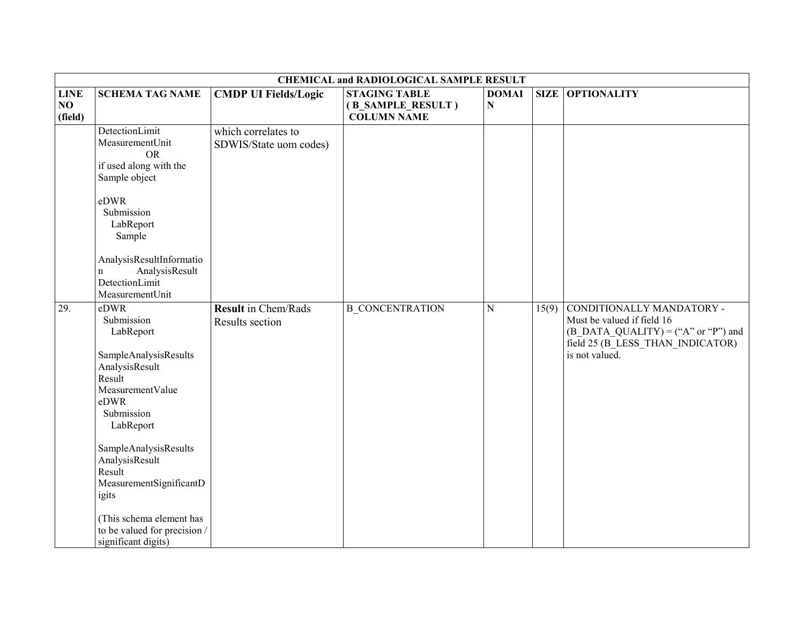|                              |                                                                                                                                                                                                                                                                                                                         |                                               | <b>CHEMICAL and RADIOLOGICAL SAMPLE RESULT</b>                  |                   |       |                                                                                                                                                        |
|------------------------------|-------------------------------------------------------------------------------------------------------------------------------------------------------------------------------------------------------------------------------------------------------------------------------------------------------------------------|-----------------------------------------------|-----------------------------------------------------------------|-------------------|-------|--------------------------------------------------------------------------------------------------------------------------------------------------------|
| <b>LINE</b><br>NO<br>(field) | <b>SCHEMA TAG NAME</b>                                                                                                                                                                                                                                                                                                  | <b>CMDP UI Fields/Logic</b>                   | <b>STAGING TABLE</b><br>(B_SAMPLE_RESULT)<br><b>COLUMN NAME</b> | <b>DOMAI</b><br>N |       | <b>SIZE OPTIONALITY</b>                                                                                                                                |
|                              | DetectionLimit<br>MeasurementUnit<br><b>OR</b><br>if used along with the<br>Sample object<br>eDWR<br>Submission<br>LabReport<br>Sample<br>AnalysisResultInformatio<br>AnalysisResult<br>n<br>DetectionLimit<br>MeasurementUnit                                                                                          | which correlates to<br>SDWIS/State uom codes) |                                                                 |                   |       |                                                                                                                                                        |
| 29.                          | eDWR<br>Submission<br>LabReport<br>SampleAnalysisResults<br>AnalysisResult<br>Result<br>MeasurementValue<br>eDWR<br>Submission<br>LabReport<br>SampleAnalysisResults<br>AnalysisResult<br>Result<br>MeasurementSignificantD<br>igits<br>(This schema element has<br>to be valued for precision /<br>significant digits) | <b>Result</b> in Chem/Rads<br>Results section | <b>B CONCENTRATION</b>                                          | $\mathbf N$       | 15(9) | CONDITIONALLY MANDATORY -<br>Must be valued if field 16<br>$(B$ DATA QUALITY) = ("A" or "P") and<br>field 25 (B_LESS_THAN_INDICATOR)<br>is not valued. |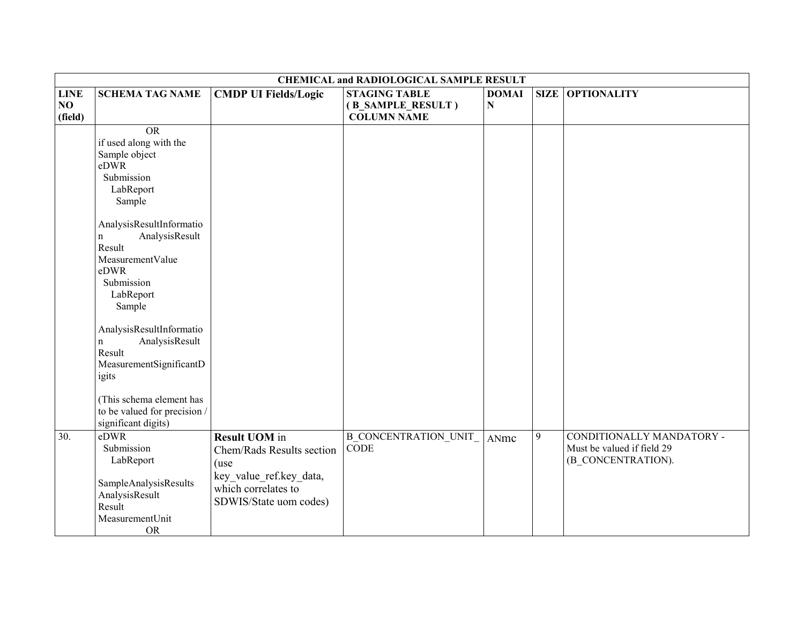|                              | <b>CHEMICAL and RADIOLOGICAL SAMPLE RESULT</b>                                                                                                                      |                                                                                                                                       |                                                                 |                   |             |                                                                               |  |
|------------------------------|---------------------------------------------------------------------------------------------------------------------------------------------------------------------|---------------------------------------------------------------------------------------------------------------------------------------|-----------------------------------------------------------------|-------------------|-------------|-------------------------------------------------------------------------------|--|
| <b>LINE</b><br>NO<br>(field) | <b>SCHEMA TAG NAME</b>                                                                                                                                              | <b>CMDP UI Fields/Logic</b>                                                                                                           | <b>STAGING TABLE</b><br>(B_SAMPLE_RESULT)<br><b>COLUMN NAME</b> | <b>DOMAI</b><br>N | <b>SIZE</b> | <b>OPTIONALITY</b>                                                            |  |
|                              | $\overline{OR}$<br>if used along with the<br>Sample object<br>eDWR<br>Submission<br>LabReport<br>Sample                                                             |                                                                                                                                       |                                                                 |                   |             |                                                                               |  |
|                              | AnalysisResultInformatio<br>AnalysisResult<br>$\mathbf{n}$<br>Result<br>MeasurementValue<br>eDWR<br>Submission<br>LabReport<br>Sample                               |                                                                                                                                       |                                                                 |                   |             |                                                                               |  |
|                              | AnalysisResultInformatio<br>AnalysisResult<br>$\mathbf n$<br>Result<br>MeasurementSignificantD<br>igits<br>(This schema element has<br>to be valued for precision / |                                                                                                                                       |                                                                 |                   |             |                                                                               |  |
| 30.                          | significant digits)<br>eDWR<br>Submission<br>LabReport<br>SampleAnalysisResults<br>AnalysisResult<br>Result<br>MeasurementUnit<br><b>OR</b>                         | <b>Result UOM</b> in<br>Chem/Rads Results section<br>(use<br>key_value_ref.key_data,<br>which correlates to<br>SDWIS/State uom codes) | <b>B_CONCENTRATION_UNIT_</b><br>CODE                            | ANmc              | 9           | CONDITIONALLY MANDATORY -<br>Must be valued if field 29<br>(B_CONCENTRATION). |  |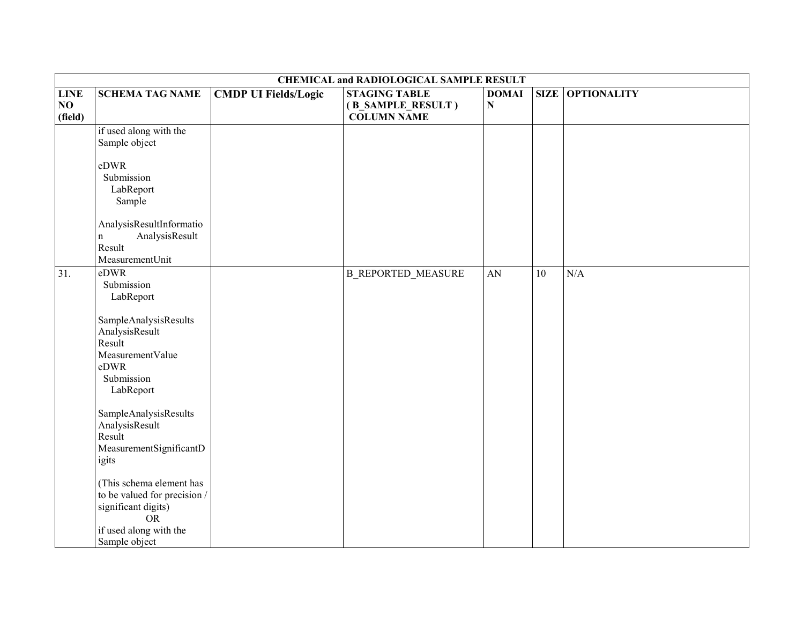|                              | <b>CHEMICAL and RADIOLOGICAL SAMPLE RESULT</b>                                                                                          |                             |                                                                 |                             |    |                         |  |  |
|------------------------------|-----------------------------------------------------------------------------------------------------------------------------------------|-----------------------------|-----------------------------------------------------------------|-----------------------------|----|-------------------------|--|--|
| <b>LINE</b><br>NO<br>(field) | <b>SCHEMA TAG NAME</b>                                                                                                                  | <b>CMDP UI Fields/Logic</b> | <b>STAGING TABLE</b><br>(B_SAMPLE_RESULT)<br><b>COLUMN NAME</b> | <b>DOMAI</b><br>$\mathbf N$ |    | <b>SIZE OPTIONALITY</b> |  |  |
|                              | if used along with the<br>Sample object                                                                                                 |                             |                                                                 |                             |    |                         |  |  |
|                              | eDWR<br>Submission<br>LabReport<br>Sample                                                                                               |                             |                                                                 |                             |    |                         |  |  |
|                              | AnalysisResultInformatio<br>AnalysisResult<br>$\mathbf n$<br>Result<br>MeasurementUnit                                                  |                             |                                                                 |                             |    |                         |  |  |
| 31.                          | eDWR<br>Submission<br>LabReport                                                                                                         |                             | <b>B REPORTED MEASURE</b>                                       | AN                          | 10 | N/A                     |  |  |
|                              | SampleAnalysisResults<br>AnalysisResult<br>Result<br>MeasurementValue<br>eDWR<br>Submission<br>LabReport                                |                             |                                                                 |                             |    |                         |  |  |
|                              | SampleAnalysisResults<br>AnalysisResult<br>Result<br>MeasurementSignificantD<br>igits                                                   |                             |                                                                 |                             |    |                         |  |  |
|                              | (This schema element has<br>to be valued for precision /<br>significant digits)<br><b>OR</b><br>if used along with the<br>Sample object |                             |                                                                 |                             |    |                         |  |  |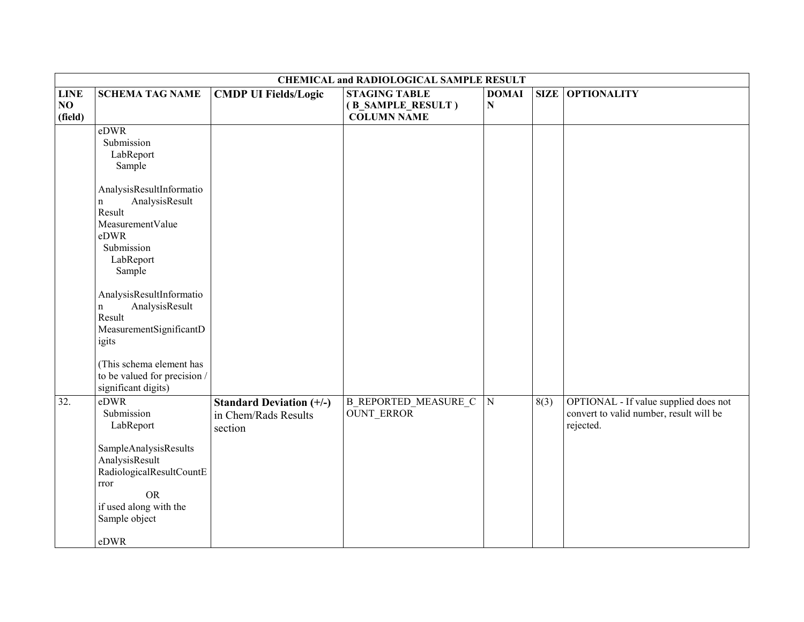|                              | <b>CHEMICAL and RADIOLOGICAL SAMPLE RESULT</b>                                                                              |                                                                    |                                                                 |                           |      |                                                                                               |  |
|------------------------------|-----------------------------------------------------------------------------------------------------------------------------|--------------------------------------------------------------------|-----------------------------------------------------------------|---------------------------|------|-----------------------------------------------------------------------------------------------|--|
| <b>LINE</b><br>NO<br>(field) | <b>SCHEMA TAG NAME</b>                                                                                                      | <b>CMDP UI Fields/Logic</b>                                        | <b>STAGING TABLE</b><br>(B_SAMPLE_RESULT)<br><b>COLUMN NAME</b> | <b>DOMAI</b><br>${\bf N}$ |      | <b>SIZE OPTIONALITY</b>                                                                       |  |
|                              | eDWR<br>Submission<br>LabReport<br>Sample                                                                                   |                                                                    |                                                                 |                           |      |                                                                                               |  |
|                              | AnalysisResultInformatio<br>AnalysisResult<br>n<br>Result<br>MeasurementValue<br>eDWR<br>Submission<br>LabReport<br>Sample  |                                                                    |                                                                 |                           |      |                                                                                               |  |
|                              | AnalysisResultInformatio<br>AnalysisResult<br>n<br>Result<br>MeasurementSignificantD<br>igits                               |                                                                    |                                                                 |                           |      |                                                                                               |  |
|                              | (This schema element has<br>to be valued for precision /<br>significant digits)                                             |                                                                    |                                                                 |                           |      |                                                                                               |  |
| 32.                          | eDWR<br>Submission<br>LabReport<br>SampleAnalysisResults<br>AnalysisResult<br>RadiologicalResultCountE<br>rror<br><b>OR</b> | <b>Standard Deviation (+/-)</b><br>in Chem/Rads Results<br>section | <b>B_REPORTED_MEASURE_C</b><br><b>OUNT ERROR</b>                | ${\bf N}$                 | 8(3) | OPTIONAL - If value supplied does not<br>convert to valid number, result will be<br>rejected. |  |
|                              | if used along with the<br>Sample object<br>eDWR                                                                             |                                                                    |                                                                 |                           |      |                                                                                               |  |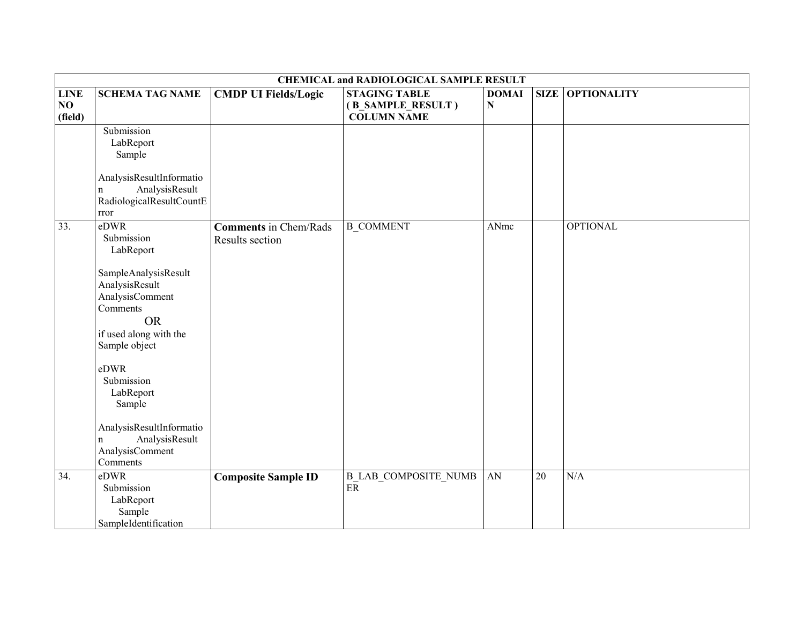|                              | <b>CHEMICAL and RADIOLOGICAL SAMPLE RESULT</b>                                                                                                                                                                                                                                                  |                                                 |                                                                 |                           |             |                    |  |  |
|------------------------------|-------------------------------------------------------------------------------------------------------------------------------------------------------------------------------------------------------------------------------------------------------------------------------------------------|-------------------------------------------------|-----------------------------------------------------------------|---------------------------|-------------|--------------------|--|--|
| <b>LINE</b><br>NO<br>(field) | <b>SCHEMA TAG NAME</b>                                                                                                                                                                                                                                                                          | <b>CMDP UI Fields/Logic</b>                     | <b>STAGING TABLE</b><br>(B_SAMPLE_RESULT)<br><b>COLUMN NAME</b> | <b>DOMAI</b><br>${\bf N}$ | <b>SIZE</b> | <b>OPTIONALITY</b> |  |  |
|                              | Submission<br>LabReport<br>Sample<br>AnalysisResultInformatio<br>AnalysisResult<br>n<br>RadiologicalResultCountE<br>rror                                                                                                                                                                        |                                                 |                                                                 |                           |             |                    |  |  |
| 33.                          | eDWR<br>Submission<br>LabReport<br>SampleAnalysisResult<br>AnalysisResult<br>AnalysisComment<br>Comments<br><b>OR</b><br>if used along with the<br>Sample object<br>eDWR<br>Submission<br>LabReport<br>Sample<br>AnalysisResultInformatio<br>AnalysisResult<br>n<br>AnalysisComment<br>Comments | <b>Comments</b> in Chem/Rads<br>Results section | <b>B_COMMENT</b>                                                | ANmc                      |             | <b>OPTIONAL</b>    |  |  |
| 34.                          | eDWR<br>Submission<br>LabReport<br>Sample<br>SampleIdentification                                                                                                                                                                                                                               | <b>Composite Sample ID</b>                      | <b>B LAB COMPOSITE NUMB</b><br>$\rm ER$                         | AN                        | 20          | N/A                |  |  |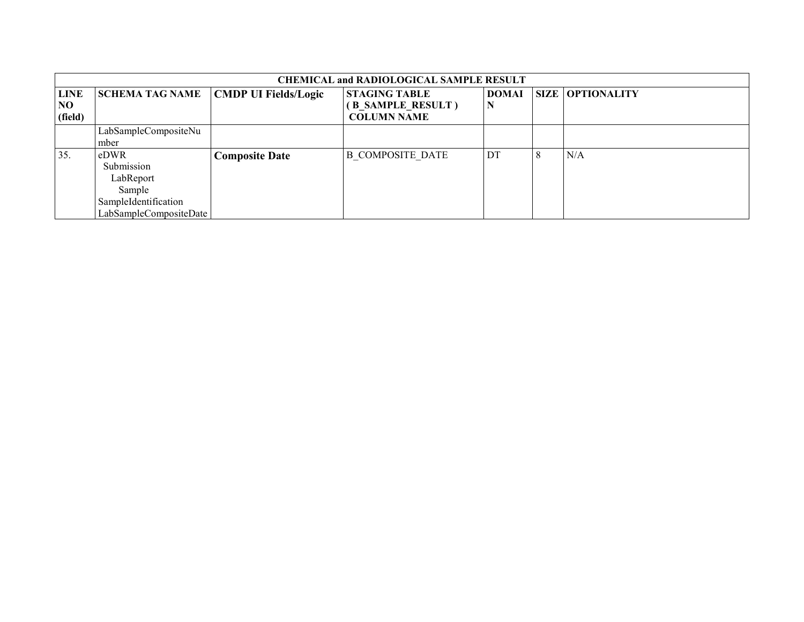|                              | <b>CHEMICAL and RADIOLOGICAL SAMPLE RESULT</b>                                              |                             |                                                                 |              |   |                         |  |  |  |  |
|------------------------------|---------------------------------------------------------------------------------------------|-----------------------------|-----------------------------------------------------------------|--------------|---|-------------------------|--|--|--|--|
| <b>LINE</b><br>NO<br>(field) | <b>SCHEMA TAG NAME</b>                                                                      | <b>CMDP UI Fields/Logic</b> | <b>STAGING TABLE</b><br>(B SAMPLE RESULT)<br><b>COLUMN NAME</b> | <b>DOMAI</b> |   | <b>SIZE OPTIONALITY</b> |  |  |  |  |
|                              | LabSampleCompositeNu<br>mber                                                                |                             |                                                                 |              |   |                         |  |  |  |  |
| 35.                          | eDWR<br>Submission<br>LabReport<br>Sample<br>SampleIdentification<br>LabSampleCompositeDate | <b>Composite Date</b>       | <b>B COMPOSITE DATE</b>                                         | . DT         | 8 | N/A                     |  |  |  |  |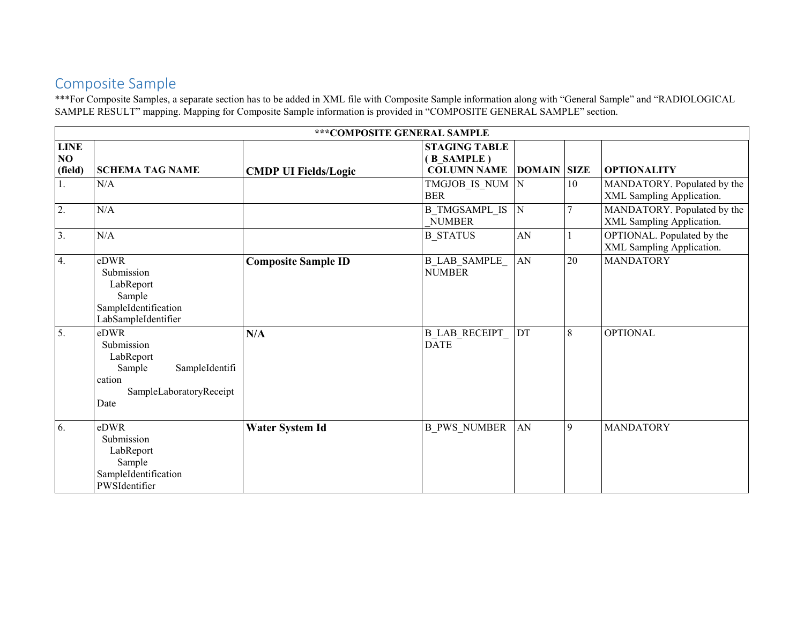#### Composite Sample

\*\*\*For Composite Samples, a separate section has to be added in XML file with Composite Sample information along with "General Sample" and "RADIOLOGICAL SAMPLE RESULT" mapping. Mapping for Composite Sample information is provided in "COMPOSITE GENERAL SAMPLE" section.

|                              |                                                                                                          | *** COMPOSITE GENERAL SAMPLE |                                                          |                            |    |                                                          |
|------------------------------|----------------------------------------------------------------------------------------------------------|------------------------------|----------------------------------------------------------|----------------------------|----|----------------------------------------------------------|
| <b>LINE</b><br>NO<br>(field) | <b>SCHEMA TAG NAME</b>                                                                                   | <b>CMDP UI Fields/Logic</b>  | <b>STAGING TABLE</b><br>(B SAMPLE)<br><b>COLUMN NAME</b> | <b>DOMAIN SIZE</b>         |    | <b>OPTIONALITY</b>                                       |
| 1.                           | N/A                                                                                                      |                              | TMGJOB IS NUM N<br><b>BER</b>                            |                            | 10 | MANDATORY. Populated by the<br>XML Sampling Application. |
| 2.                           | N/A                                                                                                      |                              | <b>B TMGSAMPL IS</b><br><b>NUMBER</b>                    | N                          |    | MANDATORY. Populated by the<br>XML Sampling Application. |
| 3.                           | N/A                                                                                                      |                              | <b>B STATUS</b>                                          | AN                         |    | OPTIONAL. Populated by the<br>XML Sampling Application.  |
| 4.                           | eDWR<br>Submission<br>LabReport<br>Sample<br>SampleIdentification<br>LabSampleIdentifier                 | <b>Composite Sample ID</b>   | <b>B LAB SAMPLE</b><br><b>NUMBER</b>                     | ${\rm AN}$                 | 20 | <b>MANDATORY</b>                                         |
| 5.                           | eDWR<br>Submission<br>LabReport<br>Sample<br>SampleIdentifi<br>cation<br>SampleLaboratoryReceipt<br>Date | N/A                          | <b>B LAB RECEIPT</b><br><b>DATE</b>                      | $\mathop{\rm DT}\nolimits$ | 8  | <b>OPTIONAL</b>                                          |
| 6.                           | eDWR<br>Submission<br>LabReport<br>Sample<br>SampleIdentification<br>PWSIdentifier                       | <b>Water System Id</b>       | <b>B PWS NUMBER</b>                                      | ${\rm AN}$                 | 9  | <b>MANDATORY</b>                                         |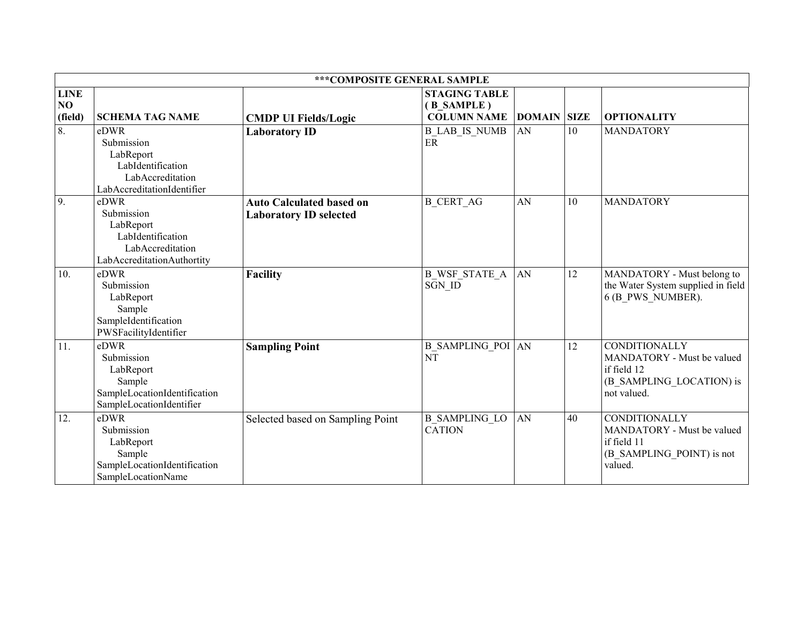|                              |                                                                                                        | ***COMPOSITE GENERAL SAMPLE                                      |                                                          |                    |    |                                                                                                              |
|------------------------------|--------------------------------------------------------------------------------------------------------|------------------------------------------------------------------|----------------------------------------------------------|--------------------|----|--------------------------------------------------------------------------------------------------------------|
| <b>LINE</b><br>NO<br>(field) | <b>SCHEMA TAG NAME</b>                                                                                 | <b>CMDP UI Fields/Logic</b>                                      | <b>STAGING TABLE</b><br>(B SAMPLE)<br><b>COLUMN NAME</b> | <b>DOMAIN SIZE</b> |    | <b>OPTIONALITY</b>                                                                                           |
| $\overline{8}$ .             | eDWR<br>Submission<br>LabReport<br>LabIdentification<br>LabAccreditation<br>LabAccreditationIdentifier | <b>Laboratory ID</b>                                             | <b>B LAB IS NUMB</b><br>ER                               | AN                 | 10 | <b>MANDATORY</b>                                                                                             |
| 9.                           | eDWR<br>Submission<br>LabReport<br>LabIdentification<br>LabAccreditation<br>LabAccreditationAuthortity | <b>Auto Calculated based on</b><br><b>Laboratory ID selected</b> | <b>B_CERT_AG</b>                                         | AN                 | 10 | <b>MANDATORY</b>                                                                                             |
| 10.                          | eDWR<br>Submission<br>LabReport<br>Sample<br>SampleIdentification<br>PWSFacilityIdentifier             | <b>Facility</b>                                                  | <b>B WSF STATE A</b><br>SGN_ID                           | AN                 | 12 | MANDATORY - Must belong to<br>the Water System supplied in field<br>6 (B PWS NUMBER).                        |
| 11.                          | eDWR<br>Submission<br>LabReport<br>Sample<br>SampleLocationIdentification<br>SampleLocationIdentifier  | <b>Sampling Point</b>                                            | <b>B_SAMPLING_POI</b> AN<br>$N\bar{T}$                   |                    | 12 | <b>CONDITIONALLY</b><br>MANDATORY - Must be valued<br>if field 12<br>(B_SAMPLING_LOCATION) is<br>not valued. |
| 12.                          | eDWR<br>Submission<br>LabReport<br>Sample<br>SampleLocationIdentification<br>SampleLocationName        | Selected based on Sampling Point                                 | <b>B SAMPLING LO</b><br><b>CATION</b>                    | AN                 | 40 | <b>CONDITIONALLY</b><br>MANDATORY - Must be valued<br>if field 11<br>(B SAMPLING POINT) is not<br>valued.    |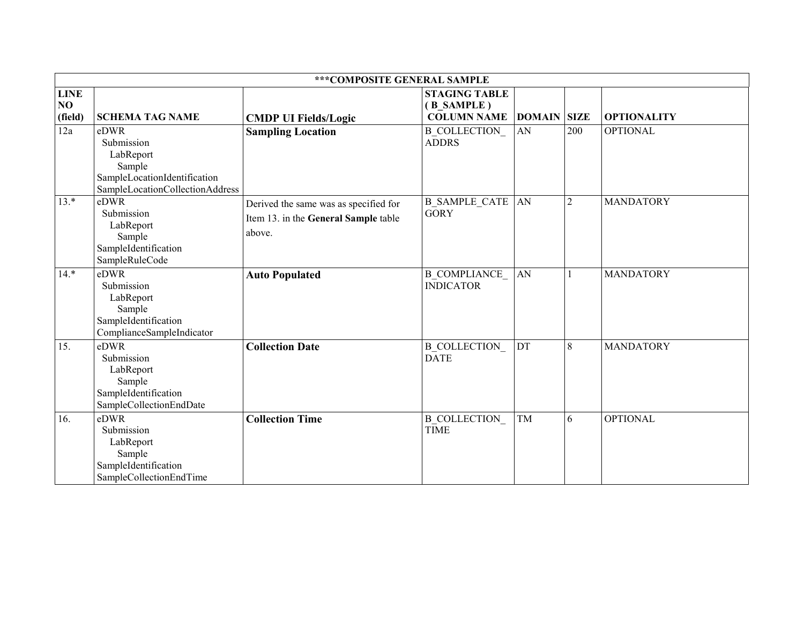|                              |                                                                                                              | *** COMPOSITE GENERAL SAMPLE                                                            |                                                          |                    |                |                    |
|------------------------------|--------------------------------------------------------------------------------------------------------------|-----------------------------------------------------------------------------------------|----------------------------------------------------------|--------------------|----------------|--------------------|
| <b>LINE</b><br>NO<br>(field) | <b>SCHEMA TAG NAME</b>                                                                                       | <b>CMDP UI Fields/Logic</b>                                                             | <b>STAGING TABLE</b><br>(B SAMPLE)<br><b>COLUMN NAME</b> | <b>DOMAIN SIZE</b> |                | <b>OPTIONALITY</b> |
| 12a                          | eDWR<br>Submission<br>LabReport<br>Sample<br>SampleLocationIdentification<br>SampleLocationCollectionAddress | <b>Sampling Location</b>                                                                | <b>B COLLECTION</b><br><b>ADDRS</b>                      | AN                 | 200            | <b>OPTIONAL</b>    |
| $13.*$                       | eDWR<br>Submission<br>LabReport<br>Sample<br>SampleIdentification<br>SampleRuleCode                          | Derived the same was as specified for<br>Item 13. in the General Sample table<br>above. | <b>B_SAMPLE_CATE</b><br><b>GORY</b>                      | AN                 | $\overline{2}$ | <b>MANDATORY</b>   |
| $14.*$                       | eDWR<br>Submission<br>LabReport<br>Sample<br>SampleIdentification<br>ComplianceSampleIndicator               | <b>Auto Populated</b>                                                                   | <b>B COMPLIANCE</b><br><b>INDICATOR</b>                  | AN                 |                | <b>MANDATORY</b>   |
| 15.                          | eDWR<br>Submission<br>LabReport<br>Sample<br>SampleIdentification<br>SampleCollectionEndDate                 | <b>Collection Date</b>                                                                  | <b>B_COLLECTION</b><br><b>DATE</b>                       | $DT$               | 8              | <b>MANDATORY</b>   |
| 16.                          | eDWR<br>Submission<br>LabReport<br>Sample<br>SampleIdentification<br>SampleCollectionEndTime                 | <b>Collection Time</b>                                                                  | <b>B COLLECTION</b><br><b>TIME</b>                       | TM                 | 6              | <b>OPTIONAL</b>    |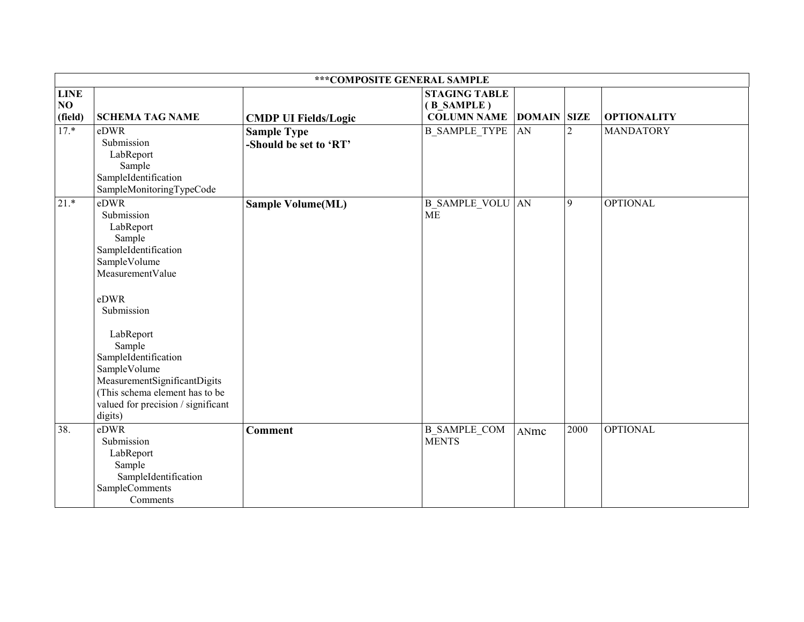|                              | *** COMPOSITE GENERAL SAMPLE                                                                                                                                                                                                                                                                                  |                                              |                                                          |                    |                |                    |  |
|------------------------------|---------------------------------------------------------------------------------------------------------------------------------------------------------------------------------------------------------------------------------------------------------------------------------------------------------------|----------------------------------------------|----------------------------------------------------------|--------------------|----------------|--------------------|--|
| <b>LINE</b><br>NO<br>(field) | <b>SCHEMA TAG NAME</b>                                                                                                                                                                                                                                                                                        | <b>CMDP UI Fields/Logic</b>                  | <b>STAGING TABLE</b><br>(B_SAMPLE)<br><b>COLUMN NAME</b> | <b>DOMAIN SIZE</b> |                | <b>OPTIONALITY</b> |  |
| $17.*$                       | eDWR<br>Submission<br>LabReport<br>Sample<br>SampleIdentification<br>SampleMonitoringTypeCode                                                                                                                                                                                                                 | <b>Sample Type</b><br>-Should be set to 'RT' | <b>B_SAMPLE_TYPE</b>                                     | AN                 | $\overline{2}$ | <b>MANDATORY</b>   |  |
| $21.*$                       | eDWR<br>Submission<br>LabReport<br>Sample<br>SampleIdentification<br>SampleVolume<br>MeasurementValue<br>eDWR<br>Submission<br>LabReport<br>Sample<br>SampleIdentification<br>SampleVolume<br>MeasurementSignificantDigits<br>(This schema element has to be<br>valued for precision / significant<br>digits) | <b>Sample Volume(ML)</b>                     | <b>B SAMPLE VOLU AN</b><br>$\overline{\text{ME}}$        |                    | 9              | <b>OPTIONAL</b>    |  |
| 38.                          | eDWR<br>Submission<br>LabReport<br>Sample<br>SampleIdentification<br>SampleComments<br>Comments                                                                                                                                                                                                               | <b>Comment</b>                               | <b>B SAMPLE COM</b><br><b>MENTS</b>                      | ANmc               | 2000           | <b>OPTIONAL</b>    |  |